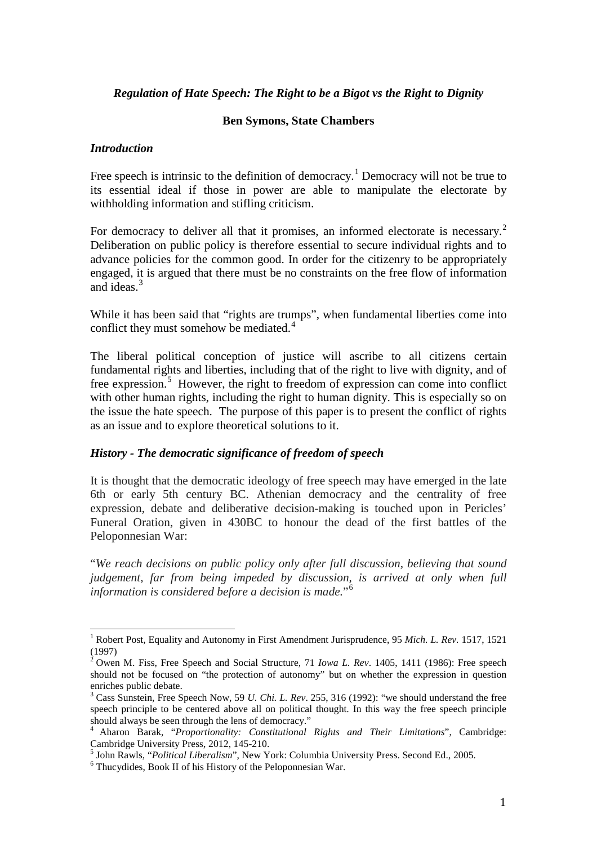#### *Regulation of Hate Speech: The Right to be a Bigot vs the Right to Dignity*

#### **Ben Symons, State Chambers**

#### *Introduction*

Free speech is intrinsic to the definition of democracy.<sup>[1](#page-0-0)</sup> Democracy will not be true to its essential ideal if those in power are able to manipulate the electorate by withholding information and stifling criticism.

For democracy to deliver all that it promises, an informed electorate is necessary.<sup>[2](#page-0-1)</sup> Deliberation on public policy is therefore essential to secure individual rights and to advance policies for the common good. In order for the citizenry to be appropriately engaged, it is argued that there must be no constraints on the free flow of information and ideas. [3](#page-0-2)

While it has been said that "rights are trumps", when fundamental liberties come into conflict they must somehow be mediated.<sup>[4](#page-0-3)</sup>

The liberal political conception of justice will ascribe to all citizens certain fundamental rights and liberties, including that of the right to live with dignity, and of free expression.<sup>[5](#page-0-4)</sup> However, the right to freedom of expression can come into conflict with other human rights, including the right to human dignity. This is especially so on the issue the hate speech. The purpose of this paper is to present the conflict of rights as an issue and to explore theoretical solutions to it.

#### *History - The democratic significance of freedom of speech*

It is thought that the democratic ideology of free speech may have emerged in the late 6th or early 5th century BC. Athenian democracy and the centrality of free expression, debate and deliberative decision-making is touched upon in Pericles' Funeral Oration, given in 430BC to honour the dead of the first battles of the Peloponnesian War:

"*We reach decisions on public policy only after full discussion, believing that sound judgement, far from being impeded by discussion, is arrived at only when full information is considered before a decision is made.*"[6](#page-0-5)

<span id="page-0-0"></span><sup>1</sup> Robert Post, Equality and Autonomy in First Amendment Jurisprudence, 95 *Mich. L. Rev.* 1517, 1521 (1997)

<span id="page-0-1"></span><sup>2</sup> Owen M. Fiss, Free Speech and Social Structure, 71 *Iowa L. Rev*. 1405, 1411 (1986): Free speech should not be focused on "the protection of autonomy" but on whether the expression in question enriches public debate.

<span id="page-0-2"></span><sup>3</sup> Cass Sunstein, Free Speech Now, 59 *U. Chi. L. Rev*. 255, 316 (1992): "we should understand the free speech principle to be centered above all on political thought. In this way the free speech principle should always be seen through the lens of democracy."

<span id="page-0-3"></span><sup>4</sup> Aharon Barak, "*Proportionality: Constitutional Rights and Their Limitations*", Cambridge: Cambridge University Press, 2012, 145-210.<br><sup>5</sup> John Rawls, "*Political Liberalism*", New York: Columbia University Press. Second Ed., 2005.<br><sup>6</sup> Thucydides, Book II of his History of the Peloponnesian War.

<span id="page-0-4"></span>

<span id="page-0-5"></span>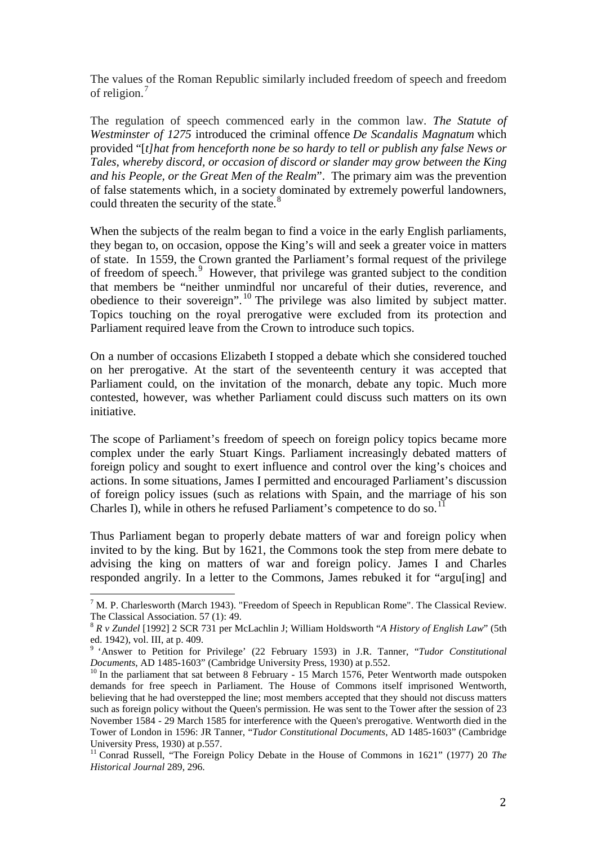The values of the Roman Republic similarly included freedom of speech and freedom of religion.<sup>[7](#page-1-0)</sup>

The regulation of speech commenced early in the common law. *The Statute of Westminster of 1275* introduced the criminal offence *De Scandalis Magnatum* which provided "[*t]hat from henceforth none be so hardy to tell or publish any false News or Tales, whereby discord, or occasion of discord or slander may grow between the King and his People, or the Great Men of the Realm*". The primary aim was the prevention of false statements which, in a society dominated by extremely powerful landowners, could threaten the security of the state.<sup>[8](#page-1-1)</sup>

When the subjects of the realm began to find a voice in the early English parliaments, they began to, on occasion, oppose the King's will and seek a greater voice in matters of state. In 1559, the Crown granted the Parliament's formal request of the privilege of freedom of speech.<sup>[9](#page-1-2)</sup> However, that privilege was granted subject to the condition that members be "neither unmindful nor uncareful of their duties, reverence, and obedience to their sovereign". [10](#page-1-3) The privilege was also limited by subject matter. Topics touching on the royal prerogative were excluded from its protection and Parliament required leave from the Crown to introduce such topics.

On a number of occasions Elizabeth I stopped a debate which she considered touched on her prerogative. At the start of the seventeenth century it was accepted that Parliament could, on the invitation of the monarch, debate any topic. Much more contested, however, was whether Parliament could discuss such matters on its own initiative.

The scope of Parliament's freedom of speech on foreign policy topics became more complex under the early Stuart Kings. Parliament increasingly debated matters of foreign policy and sought to exert influence and control over the king's choices and actions. In some situations, James I permitted and encouraged Parliament's discussion of foreign policy issues (such as relations with Spain, and the marriage of his son Charles I), while in others he refused Parliament's competence to do so.<sup>[11](#page-1-4)</sup>

Thus Parliament began to properly debate matters of war and foreign policy when invited to by the king. But by 1621, the Commons took the step from mere debate to advising the king on matters of war and foreign policy. James I and Charles responded angrily. In a letter to the Commons, James rebuked it for "argu[ing] and

<span id="page-1-0"></span><sup>&</sup>lt;sup>7</sup> M. P. Charlesworth (March 1943). "Freedom of Speech in Republican Rome". The Classical Review. The Classical Association. 57 (1): 49.

<sup>&</sup>lt;sup>8</sup> R v Zundel [1992] 2 SCR 731 per McLachlin J; William Holdsworth "*A History of English Law*" (5th

<span id="page-1-2"></span><span id="page-1-1"></span>ed. 1942), vol. III, at p. 409.<br><sup>9</sup> 'Answer to Petition for Privilege' (22 February 1593) in J.R. Tanner, "*Tudor Constitutional Documents*, AD 1485-1603" (Cambridge University Press, 1930) at p.552.

<span id="page-1-3"></span><sup>&</sup>lt;sup>10</sup> In the parliament that sat between 8 February - 15 March 1576, Peter Wentworth made outspoken demands for free speech in Parliament. The House of Commons itself imprisoned Wentworth, believing that he had overstepped the line; most members accepted that they should not discuss matters such as foreign policy without the Queen's permission. He was sent to the Tower after the session of 23 November 1584 - 29 March 1585 for interference with the Queen's prerogative. Wentworth died in the Tower of London in 1596: JR Tanner, "*Tudor Constitutional Documents*, AD 1485-1603" (Cambridge University Press, 1930) at p.557.<br><sup>11</sup> Conrad Russell, "The Foreign Policy Debate in the House of Commons in 1621" (1977) 20 *The* 

<span id="page-1-4"></span>*Historical Journal* 289, 296.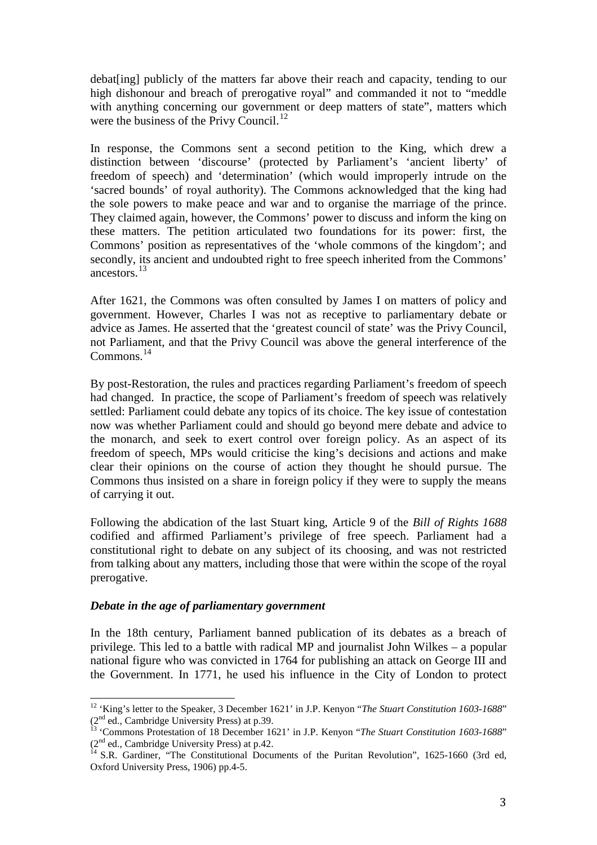debat[ing] publicly of the matters far above their reach and capacity, tending to our high dishonour and breach of prerogative royal" and commanded it not to "meddle with anything concerning our government or deep matters of state", matters which were the business of the Privy Council.<sup>[12](#page-2-0)</sup>

In response, the Commons sent a second petition to the King, which drew a distinction between 'discourse' (protected by Parliament's 'ancient liberty' of freedom of speech) and 'determination' (which would improperly intrude on the 'sacred bounds' of royal authority). The Commons acknowledged that the king had the sole powers to make peace and war and to organise the marriage of the prince. They claimed again, however, the Commons' power to discuss and inform the king on these matters. The petition articulated two foundations for its power: first, the Commons' position as representatives of the 'whole commons of the kingdom'; and secondly, its ancient and undoubted right to free speech inherited from the Commons' ancestors.[13](#page-2-1)

After 1621, the Commons was often consulted by James I on matters of policy and government. However, Charles I was not as receptive to parliamentary debate or advice as James. He asserted that the 'greatest council of state' was the Privy Council, not Parliament, and that the Privy Council was above the general interference of the Commons.[14](#page-2-2)

By post-Restoration, the rules and practices regarding Parliament's freedom of speech had changed. In practice, the scope of Parliament's freedom of speech was relatively settled: Parliament could debate any topics of its choice. The key issue of contestation now was whether Parliament could and should go beyond mere debate and advice to the monarch, and seek to exert control over foreign policy. As an aspect of its freedom of speech, MPs would criticise the king's decisions and actions and make clear their opinions on the course of action they thought he should pursue. The Commons thus insisted on a share in foreign policy if they were to supply the means of carrying it out.

Following the abdication of the last Stuart king, Article 9 of the *Bill of Rights 1688* codified and affirmed Parliament's privilege of free speech. Parliament had a constitutional right to debate on any subject of its choosing, and was not restricted from talking about any matters, including those that were within the scope of the royal prerogative.

#### *Debate in the age of parliamentary government*

In the 18th century, Parliament banned publication of its debates as a breach of privilege. This led to a battle with radical MP and journalist John Wilkes – a popular national figure who was convicted in 1764 for publishing an attack on George III and the Government. In 1771, he used his influence in the City of London to protect

<span id="page-2-0"></span><sup>&</sup>lt;sup>12</sup> 'King's letter to the Speaker, 3 December 1621' in J.P. Kenyon "*The Stuart Constitution 1603-1688*" (2<sup>nd</sup> ed., Cambridge University Press) at p.39.<br><sup>13</sup> 'Commons Protestation of 18 December 1621' in J.P. Kenyon "*The Stuart Constitution 1603-1688*"

<span id="page-2-1"></span> $(2<sup>nd</sup>$  ed., Cambridge University Press) at p.42.<br><sup>14</sup> S.R. Gardiner, "The Constitutional Documents of the Puritan Revolution", 1625-1660 (3rd ed,

<span id="page-2-2"></span>Oxford University Press, 1906) pp.4-5.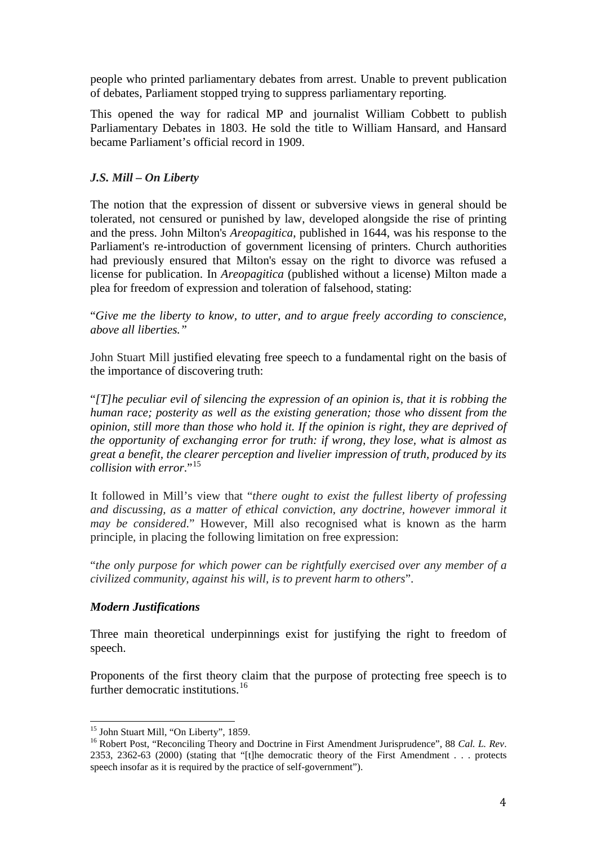people who printed parliamentary debates from arrest. Unable to prevent publication of debates, Parliament stopped trying to suppress parliamentary reporting.

This opened the way for radical MP and journalist William Cobbett to publish Parliamentary Debates in 1803. He sold the title to William Hansard, and Hansard became Parliament's official record in 1909.

# *J.S. Mill – On Liberty*

The notion that the expression of dissent or subversive views in general should be tolerated, not censured or punished by law, developed alongside the rise of printing and the press. John Milton's *Areopagitica*, published in 1644, was his response to the Parliament's re-introduction of government licensing of printers. Church authorities had previously ensured that Milton's essay on the right to divorce was refused a license for publication. In *Areopagitica* (published without a license) Milton made a plea for freedom of expression and toleration of falsehood, stating:

"*Give me the liberty to know, to utter, and to argue freely according to conscience, above all liberties."*

John Stuart Mill justified elevating free speech to a fundamental right on the basis of the importance of discovering truth:

"*[T]he peculiar evil of silencing the expression of an opinion is, that it is robbing the human race; posterity as well as the existing generation; those who dissent from the opinion, still more than those who hold it. If the opinion is right, they are deprived of the opportunity of exchanging error for truth: if wrong, they lose, what is almost as great a benefit, the clearer perception and livelier impression of truth, produced by its collision with error*."[15](#page-3-0)

It followed in Mill's view that "*there ought to exist the fullest liberty of professing and discussing, as a matter of ethical conviction, any doctrine, however immoral it may be considered*." However, Mill also recognised what is known as the harm principle, in placing the following limitation on free expression:

"*the only purpose for which power can be rightfully exercised over any member of a civilized community, against his will, is to prevent harm to others*".

# *Modern Justifications*

Three main theoretical underpinnings exist for justifying the right to freedom of speech.

Proponents of the first theory claim that the purpose of protecting free speech is to further democratic institutions.<sup>[16](#page-3-1)</sup>

<span id="page-3-1"></span><span id="page-3-0"></span><sup>&</sup>lt;sup>15</sup> John Stuart Mill, "On Liberty", 1859.<br><sup>16</sup> Robert Post, "Reconciling Theory and Doctrine in First Amendment Jurisprudence", 88 *Cal. L. Rev*. 2353, 2362-63 (2000) (stating that "[t]he democratic theory of the First Amendment . . . protects speech insofar as it is required by the practice of self-government").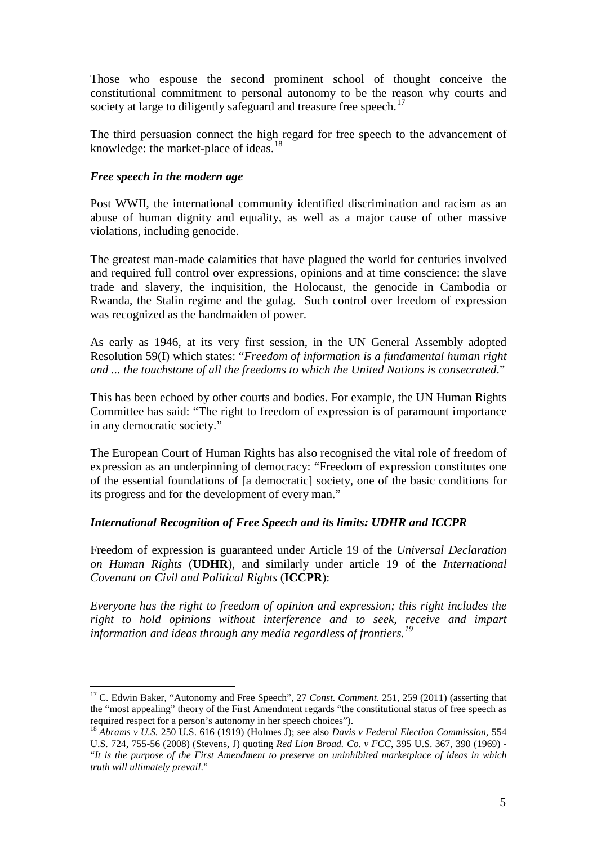Those who espouse the second prominent school of thought conceive the constitutional commitment to personal autonomy to be the reason why courts and society at large to diligently safeguard and treasure free speech.<sup>[17](#page-4-0)</sup>

The third persuasion connect the high regard for free speech to the advancement of knowledge: the market-place of ideas.<sup>[18](#page-4-1)</sup>

## *Free speech in the modern age*

Post WWII, the international community identified discrimination and racism as an abuse of human dignity and equality, as well as a major cause of other massive violations, including genocide.

The greatest man-made calamities that have plagued the world for centuries involved and required full control over expressions, opinions and at time conscience: the slave trade and slavery, the inquisition, the Holocaust, the genocide in Cambodia or Rwanda, the Stalin regime and the gulag. Such control over freedom of expression was recognized as the handmaiden of power.

As early as 1946, at its very first session, in the UN General Assembly adopted Resolution 59(I) which states: "*Freedom of information is a fundamental human right and ... the touchstone of all the freedoms to which the United Nations is consecrated*."

This has been echoed by other courts and bodies. For example, the UN Human Rights Committee has said: "The right to freedom of expression is of paramount importance in any democratic society."

The European Court of Human Rights has also recognised the vital role of freedom of expression as an underpinning of democracy: "Freedom of expression constitutes one of the essential foundations of [a democratic] society, one of the basic conditions for its progress and for the development of every man."

# *International Recognition of Free Speech and its limits: UDHR and ICCPR*

Freedom of expression is guaranteed under Article 19 of the *Universal Declaration on Human Rights* (**UDHR**), and similarly under article 19 of the *International Covenant on Civil and Political Rights* (**ICCPR**):

*Everyone has the right to freedom of opinion and expression; this right includes the right to hold opinions without interference and to seek, receive and impart information and ideas through any media regardless of frontiers.[19](#page-4-0)*

<span id="page-4-0"></span><sup>&</sup>lt;sup>17</sup> C. Edwin Baker, "Autonomy and Free Speech", 27 *Const. Comment.* 251, 259 (2011) (asserting that the "most appealing" theory of the First Amendment regards "the constitutional status of free speech as required respect for a person's autonomy in her speech choices").

<span id="page-4-1"></span><sup>18</sup> *Abrams v U.S.* 250 U.S. 616 (1919) (Holmes J); see also *Davis v Federal Election Commission*, 554 U.S. 724, 755-56 (2008) (Stevens, J) quoting *Red Lion Broad. Co. v FCC*, 395 U.S. 367, 390 (1969) - "*It is the purpose of the First Amendment to preserve an uninhibited marketplace of ideas in which truth will ultimately prevail*."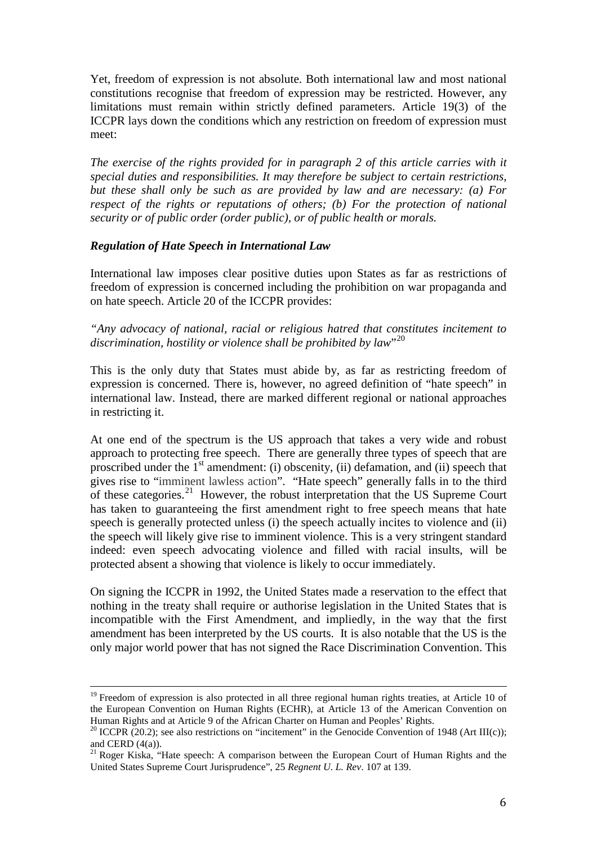Yet, freedom of expression is not absolute. Both international law and most national constitutions recognise that freedom of expression may be restricted. However, any limitations must remain within strictly defined parameters. Article 19(3) of the ICCPR lays down the conditions which any restriction on freedom of expression must meet:

*The exercise of the rights provided for in paragraph 2 of this article carries with it special duties and responsibilities. It may therefore be subject to certain restrictions, but these shall only be such as are provided by law and are necessary: (a) For respect of the rights or reputations of others; (b) For the protection of national security or of public order (order public), or of public health or morals.* 

## *Regulation of Hate Speech in International Law*

International law imposes clear positive duties upon States as far as restrictions of freedom of expression is concerned including the prohibition on war propaganda and on hate speech. Article 20 of the ICCPR provides:

*"Any advocacy of national, racial or religious hatred that constitutes incitement to discrimination, hostility or violence shall be prohibited by law*"[20](#page-5-0)

This is the only duty that States must abide by, as far as restricting freedom of expression is concerned. There is, however, no agreed definition of "hate speech" in international law. Instead, there are marked different regional or national approaches in restricting it.

At one end of the spectrum is the US approach that takes a very wide and robust approach to protecting free speech. There are generally three types of speech that are proscribed under the  $1<sup>st</sup>$  amendment: (i) obscenity, (ii) defamation, and (ii) speech that gives rise to "imminent lawless action". "Hate speech" generally falls in to the third of these categories.<sup>[21](#page-5-1)</sup> However, the robust interpretation that the US Supreme Court has taken to guaranteeing the first amendment right to free speech means that hate speech is generally protected unless (i) the speech actually incites to violence and (ii) the speech will likely give rise to imminent violence. This is a very stringent standard indeed: even speech advocating violence and filled with racial insults, will be protected absent a showing that violence is likely to occur immediately.

On signing the ICCPR in 1992, the United States made a reservation to the effect that nothing in the treaty shall require or authorise legislation in the United States that is incompatible with the First Amendment, and impliedly, in the way that the first amendment has been interpreted by the US courts. It is also notable that the US is the only major world power that has not signed the Race Discrimination Convention. This

<sup>&</sup>lt;sup>19</sup> Freedom of expression is also protected in all three regional human rights treaties, at Article 10 of the European Convention on Human Rights (ECHR), at Article 13 of the American Convention on Human Rights and at Article 9 of the African Charter on Human and Peoples' Rights.

<span id="page-5-0"></span><sup>&</sup>lt;sup>20</sup> ICCPR (20.2); see also restrictions on "incitement" in the Genocide Convention of 1948 (Art III(c)); and CERD  $(4(a))$ .

<span id="page-5-1"></span> $21$  Roger Kiska, "Hate speech: A comparison between the European Court of Human Rights and the United States Supreme Court Jurisprudence", 25 *Regnent U. L. Rev*. 107 at 139.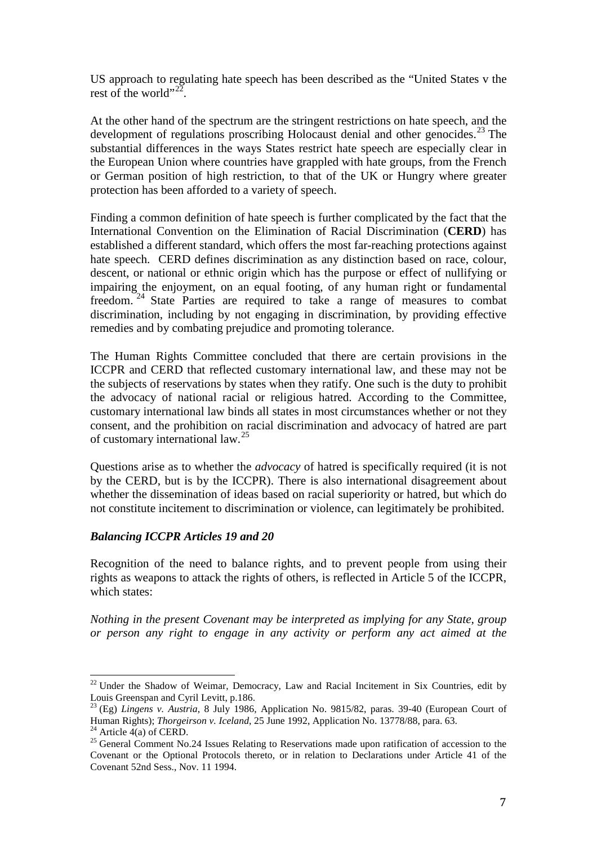US approach to regulating hate speech has been described as the "United States v the rest of the world"<sup>[22](#page-6-0)</sup>.

At the other hand of the spectrum are the stringent restrictions on hate speech, and the development of regulations proscribing Holocaust denial and other genocides.<sup>[23](#page-6-1)</sup> The substantial differences in the ways States restrict hate speech are especially clear in the European Union where countries have grappled with hate groups, from the French or German position of high restriction, to that of the UK or Hungry where greater protection has been afforded to a variety of speech.

Finding a common definition of hate speech is further complicated by the fact that the International Convention on the Elimination of Racial Discrimination (**CERD**) has established a different standard, which offers the most far-reaching protections against hate speech. CERD defines discrimination as any distinction based on race, colour, descent, or national or ethnic origin which has the purpose or effect of nullifying or impairing the enjoyment, on an equal footing, of any human right or fundamental freedom. [24](#page-6-2) State Parties are required to take a range of measures to combat discrimination, including by not engaging in discrimination, by providing effective remedies and by combating prejudice and promoting tolerance.

The Human Rights Committee concluded that there are certain provisions in the ICCPR and CERD that reflected customary international law, and these may not be the subjects of reservations by states when they ratify. One such is the duty to prohibit the advocacy of national racial or religious hatred. According to the Committee, customary international law binds all states in most circumstances whether or not they consent, and the prohibition on racial discrimination and advocacy of hatred are part of customary international law.[25](#page-6-3)

Questions arise as to whether the *advocacy* of hatred is specifically required (it is not by the CERD, but is by the ICCPR). There is also international disagreement about whether the dissemination of ideas based on racial superiority or hatred, but which do not constitute incitement to discrimination or violence, can legitimately be prohibited.

#### *Balancing ICCPR Articles 19 and 20*

Recognition of the need to balance rights, and to prevent people from using their rights as weapons to attack the rights of others, is reflected in Article 5 of the ICCPR, which states:

*Nothing in the present Covenant may be interpreted as implying for any State, group or person any right to engage in any activity or perform any act aimed at the* 

<span id="page-6-0"></span> $22$  Under the Shadow of Weimar, Democracy, Law and Racial Incitement in Six Countries, edit by Louis Greenspan and Cyril Levitt, p.186.

<span id="page-6-1"></span><sup>&</sup>lt;sup>23</sup> (Eg) *Lingens v. Austria*, 8 July 1986, Application No. 9815/82, paras. 39-40 (European Court of Human Rights); *Thorgeirson v. Iceland*, 25 June 1992, Application No. 13778/88, para. 63.

<span id="page-6-3"></span><span id="page-6-2"></span><sup>&</sup>lt;sup>24</sup> Article 4(a) of CERD.<br><sup>25</sup> General Comment No. 24 Issues Relating to Reservations made upon ratification of accession to the Covenant or the Optional Protocols thereto, or in relation to Declarations under Article 41 of the Covenant 52nd Sess., Nov. 11 1994.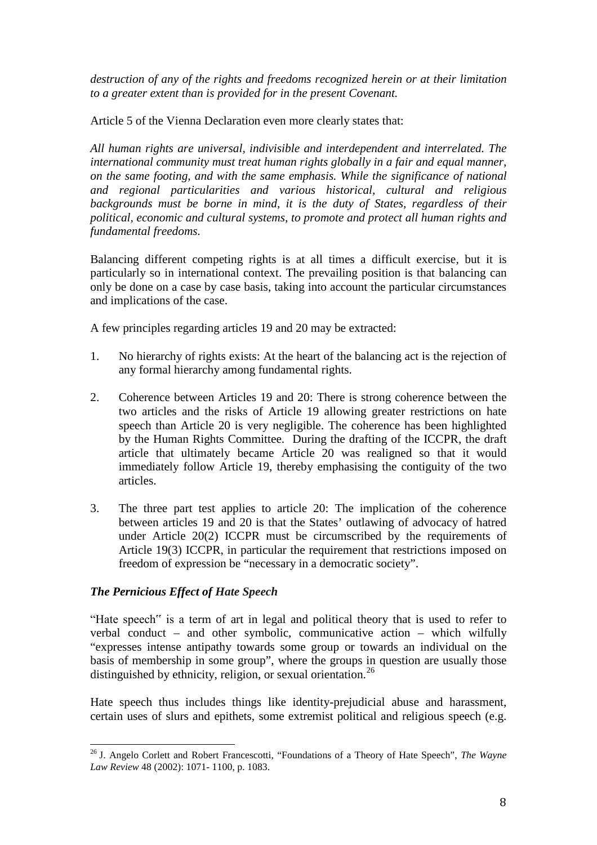*destruction of any of the rights and freedoms recognized herein or at their limitation to a greater extent than is provided for in the present Covenant.* 

Article 5 of the Vienna Declaration even more clearly states that:

*All human rights are universal, indivisible and interdependent and interrelated. The international community must treat human rights globally in a fair and equal manner, on the same footing, and with the same emphasis. While the significance of national and regional particularities and various historical, cultural and religious backgrounds must be borne in mind, it is the duty of States, regardless of their political, economic and cultural systems, to promote and protect all human rights and fundamental freedoms.* 

Balancing different competing rights is at all times a difficult exercise, but it is particularly so in international context. The prevailing position is that balancing can only be done on a case by case basis, taking into account the particular circumstances and implications of the case.

A few principles regarding articles 19 and 20 may be extracted:

- 1. No hierarchy of rights exists: At the heart of the balancing act is the rejection of any formal hierarchy among fundamental rights.
- 2. Coherence between Articles 19 and 20: There is strong coherence between the two articles and the risks of Article 19 allowing greater restrictions on hate speech than Article 20 is very negligible. The coherence has been highlighted by the Human Rights Committee. During the drafting of the ICCPR, the draft article that ultimately became Article 20 was realigned so that it would immediately follow Article 19, thereby emphasising the contiguity of the two articles.
- 3. The three part test applies to article 20: The implication of the coherence between articles 19 and 20 is that the States' outlawing of advocacy of hatred under Article 20(2) ICCPR must be circumscribed by the requirements of Article 19(3) ICCPR, in particular the requirement that restrictions imposed on freedom of expression be "necessary in a democratic society".

# *The Pernicious Effect of Hate Speech*

"Hate speech" is a term of art in legal and political theory that is used to refer to verbal conduct – and other symbolic, communicative action – which wilfully "expresses intense antipathy towards some group or towards an individual on the basis of membership in some group", where the groups in question are usually those distinguished by ethnicity, religion, or sexual orientation.<sup>[26](#page-7-0)</sup>

Hate speech thus includes things like identity-prejudicial abuse and harassment, certain uses of slurs and epithets, some extremist political and religious speech (e.g.

<span id="page-7-0"></span><sup>26</sup> J. Angelo Corlett and Robert Francescotti, "Foundations of a Theory of Hate Speech", *The Wayne Law Review* 48 (2002): 1071- 1100, p. 1083.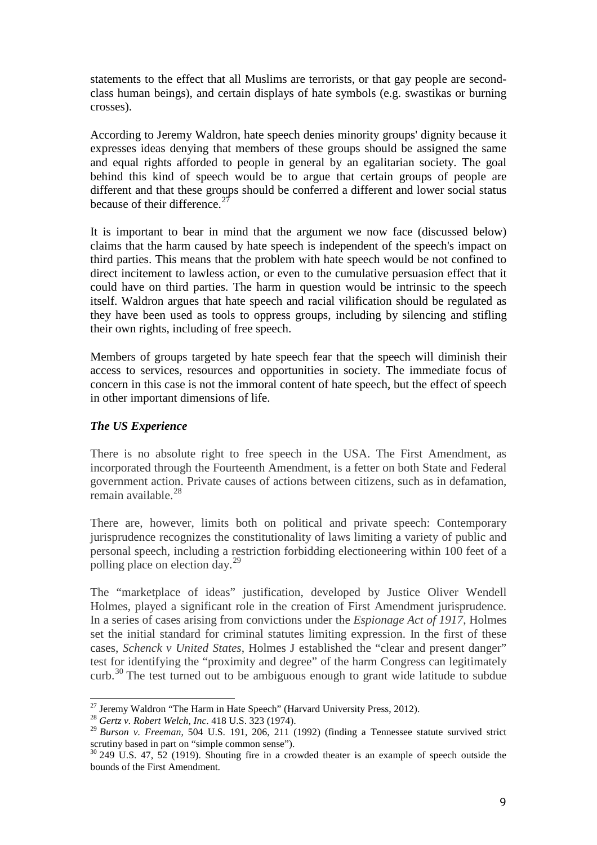statements to the effect that all Muslims are terrorists, or that gay people are secondclass human beings), and certain displays of hate symbols (e.g. swastikas or burning crosses).

According to Jeremy Waldron, hate speech denies minority groups' dignity because it expresses ideas denying that members of these groups should be assigned the same and equal rights afforded to people in general by an egalitarian society. The goal behind this kind of speech would be to argue that certain groups of people are different and that these groups should be conferred a different and lower social status because of their difference.<sup>[27](#page-8-0)</sup>

It is important to bear in mind that the argument we now face (discussed below) claims that the harm caused by hate speech is independent of the speech's impact on third parties. This means that the problem with hate speech would be not confined to direct incitement to lawless action, or even to the cumulative persuasion effect that it could have on third parties. The harm in question would be intrinsic to the speech itself. Waldron argues that hate speech and racial vilification should be regulated as they have been used as tools to oppress groups, including by silencing and stifling their own rights, including of free speech.

Members of groups targeted by hate speech fear that the speech will diminish their access to services, resources and opportunities in society. The immediate focus of concern in this case is not the immoral content of hate speech, but the effect of speech in other important dimensions of life.

# *The US Experience*

There is no absolute right to free speech in the USA. The First Amendment, as incorporated through the Fourteenth Amendment, is a fetter on both State and Federal government action. Private causes of actions between citizens, such as in defamation, remain available.<sup>[28](#page-8-1)</sup>

There are, however, limits both on political and private speech: Contemporary jurisprudence recognizes the constitutionality of laws limiting a variety of public and personal speech, including a restriction forbidding electioneering within 100 feet of a polling place on election day.<sup>[29](#page-8-2)</sup>

The "marketplace of ideas" justification, developed by Justice Oliver Wendell Holmes, played a significant role in the creation of First Amendment jurisprudence. In a series of cases arising from convictions under the *Espionage Act of 1917*, Holmes set the initial standard for criminal statutes limiting expression. In the first of these cases, *Schenck v United States*, Holmes J established the "clear and present danger" test for identifying the "proximity and degree" of the harm Congress can legitimately curb.<sup>[30](#page-8-3)</sup> The test turned out to be ambiguous enough to grant wide latitude to subdue

<span id="page-8-1"></span><span id="page-8-0"></span><sup>27</sup> Jeremy Waldron "The Harm in Hate Speech" (Harvard University Press, 2012). <sup>28</sup> *Gertz v. Robert Welch, Inc*. 418 U.S. 323 (1974).

<span id="page-8-2"></span><sup>29</sup> *Burson v. Freeman*, 504 U.S. 191, 206, 211 (1992) (finding a Tennessee statute survived strict scrutiny based in part on "simple common sense").

<span id="page-8-3"></span> $30\,249\,$  U.S. 47, 52 (1919). Shouting fire in a crowded theater is an example of speech outside the bounds of the First Amendment.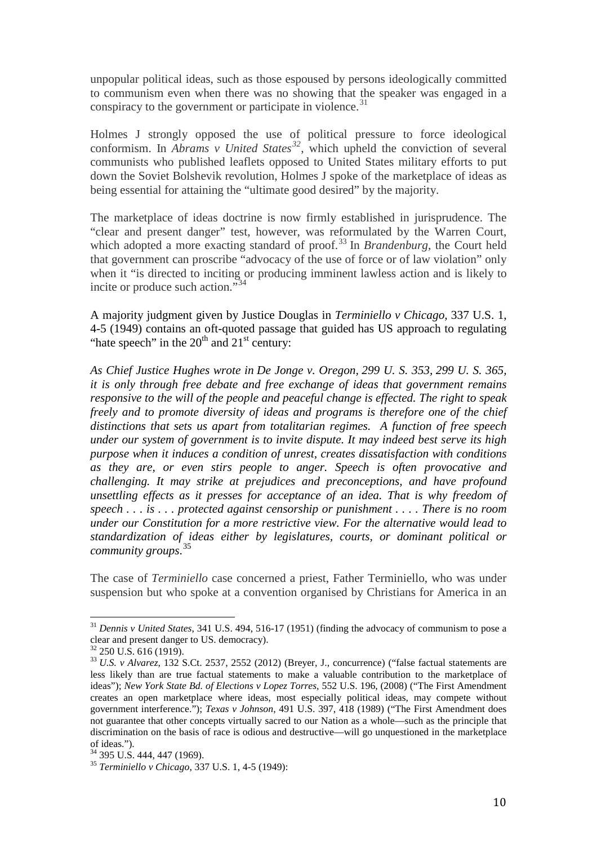unpopular political ideas, such as those espoused by persons ideologically committed to communism even when there was no showing that the speaker was engaged in a conspiracy to the government or participate in violence.<sup>[31](#page-9-0)</sup>

Holmes J strongly opposed the use of political pressure to force ideological conformism. In *Abrams v United States[32](#page-9-1)*, which upheld the conviction of several communists who published leaflets opposed to United States military efforts to put down the Soviet Bolshevik revolution, Holmes J spoke of the marketplace of ideas as being essential for attaining the "ultimate good desired" by the majority.

The marketplace of ideas doctrine is now firmly established in jurisprudence. The "clear and present danger" test, however, was reformulated by the Warren Court, which adopted a more exacting standard of proof.<sup>[33](#page-9-2)</sup> In *Brandenburg*, the Court held that government can proscribe "advocacy of the use of force or of law violation" only when it "is directed to inciting or producing imminent lawless action and is likely to incite or produce such action."[34](#page-9-3)

A majority judgment given by Justice Douglas in *Terminiello v Chicago*, 337 U.S. 1, 4-5 (1949) contains an oft-quoted passage that guided has US approach to regulating "hate speech" in the  $20<sup>th</sup>$  and  $21<sup>st</sup>$  century:

*As Chief Justice Hughes wrote in De Jonge v. Oregon, [299 U. S. 353,](https://supreme.justia.com/cases/federal/us/299/353/case.html) [299 U. S. 365,](https://supreme.justia.com/cases/federal/us/299/353/case.html#365) it is only through free debate and free exchange of ideas that government remains responsive to the will of the people and peaceful change is effected. The right to speak freely and to promote diversity of ideas and programs is therefore one of the chief distinctions that sets us apart from totalitarian regimes. A function of free speech under our system of government is to invite dispute. It may indeed best serve its high purpose when it induces a condition of unrest, creates dissatisfaction with conditions as they are, or even stirs people to anger. Speech is often provocative and challenging. It may strike at prejudices and preconceptions, and have profound unsettling effects as it presses for acceptance of an idea. That is why freedom of speech . . . is . . . protected against censorship or punishment . . . . There is no room under our Constitution for a more restrictive view. For the alternative would lead to standardization of ideas either by legislatures, courts, or dominant political or community groups*. [35](#page-9-4)

The case of *Terminiello* case concerned a priest, Father Terminiello, who was under suspension but who spoke at a convention organised by Christians for America in an

<span id="page-9-0"></span><sup>31</sup> *Dennis v United States*, 341 U.S. 494, 516-17 (1951) (finding the advocacy of communism to pose a clear and present danger to US. democracy).<br> $32\,250$  U.S. 616 (1919).

<span id="page-9-1"></span>

<span id="page-9-2"></span><sup>&</sup>lt;sup>33</sup> U.S. v *Alvarez*, 132 S.Ct. 2537, 2552 (2012) (Breyer, J., concurrence) ("false factual statements are less likely than are true factual statements to make a valuable contribution to the marketplace of ideas"); *New York State Bd. of Elections v Lopez Torres*, 552 U.S. 196, (2008) ("The First Amendment creates an open marketplace where ideas, most especially political ideas, may compete without government interference."); *Texas v Johnson*, 491 U.S. 397, 418 (1989) ("The First Amendment does not guarantee that other concepts virtually sacred to our Nation as a whole—such as the principle that discrimination on the basis of race is odious and destructive—will go unquestioned in the marketplace of ideas.").<br><sup>34</sup> 395 U.S. 444, 447 (1969).

<span id="page-9-3"></span>

<span id="page-9-4"></span><sup>34</sup> 395 U.S. 444, 447 (1969). <sup>35</sup> *Terminiello v Chicago*, 337 U.S. 1, 4-5 (1949):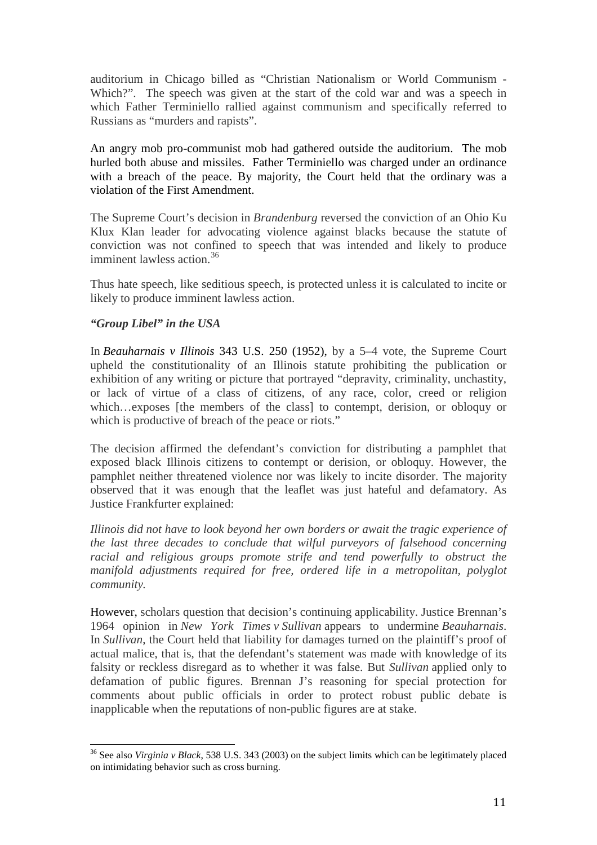auditorium in Chicago billed as "Christian Nationalism or World Communism - Which?". The speech was given at the start of the cold war and was a speech in which Father Terminiello rallied against communism and specifically referred to Russians as "murders and rapists".

An angry mob pro-communist mob had gathered outside the auditorium. The mob hurled both abuse and missiles. Father Terminiello was charged under an ordinance with a breach of the peace. By majority, the Court held that the ordinary was a violation of the First Amendment.

The Supreme Court's decision in *Brandenburg* reversed the conviction of an Ohio Ku Klux Klan leader for advocating violence against blacks because the statute of conviction was not confined to speech that was intended and likely to produce imminent lawless action.<sup>[36](#page-10-0)</sup>

Thus hate speech, like seditious speech, is protected unless it is calculated to incite or likely to produce imminent lawless action.

## *"Group Libel" in the USA*

In *Beauharnais v Illinois* 343 U.S. 250 (1952), by a 5–4 vote, the Supreme Court upheld the constitutionality of an Illinois statute prohibiting the publication or exhibition of any writing or picture that portrayed "depravity, criminality, unchastity, or lack of virtue of a class of citizens, of any race, color, creed or religion which…exposes [the members of the class] to contempt, derision, or obloquy or which is productive of breach of the peace or riots."

The decision affirmed the defendant's conviction for distributing a pamphlet that exposed black Illinois citizens to contempt or derision, or obloquy. However, the pamphlet neither threatened violence nor was likely to incite disorder. The majority observed that it was enough that the leaflet was just hateful and defamatory. As Justice Frankfurter explained:

*Illinois did not have to look beyond her own borders or await the tragic experience of the last three decades to conclude that wilful purveyors of falsehood concerning racial and religious groups promote strife and tend powerfully to obstruct the manifold adjustments required for free, ordered life in a metropolitan, polyglot community.*

However, scholars question that decision's continuing applicability. Justice Brennan's 1964 opinion in *New York Times v Sullivan* appears to undermine *Beauharnais*. In *Sullivan*, the Court held that liability for damages turned on the plaintiff's proof of actual malice, that is, that the defendant's statement was made with knowledge of its falsity or reckless disregard as to whether it was false. But *Sullivan* applied only to defamation of public figures. Brennan J's reasoning for special protection for comments about public officials in order to protect robust public debate is inapplicable when the reputations of non-public figures are at stake.

<span id="page-10-0"></span><sup>36</sup> See also *Virginia v Black*, 538 U.S. 343 (2003) on the subject limits which can be legitimately placed on intimidating behavior such as cross burning.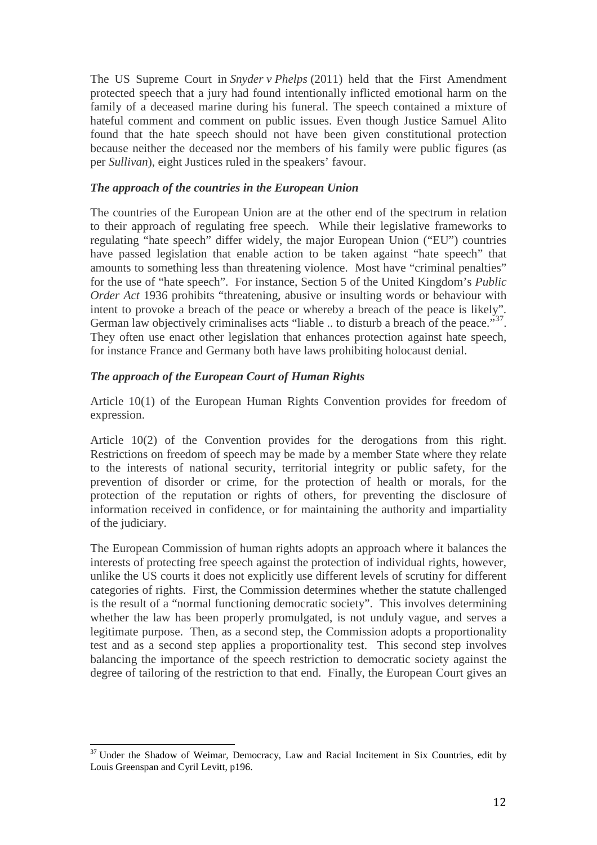The US Supreme Court in *Snyder v Phelps* (2011) held that the First Amendment protected speech that a jury had found intentionally inflicted emotional harm on the family of a deceased marine during his funeral. The speech contained a mixture of hateful comment and comment on public issues. Even though Justice Samuel Alito found that the hate speech should not have been given constitutional protection because neither the deceased nor the members of his family were public figures (as per *Sullivan*), eight Justices ruled in the speakers' favour.

## *The approach of the countries in the European Union*

The countries of the European Union are at the other end of the spectrum in relation to their approach of regulating free speech. While their legislative frameworks to regulating "hate speech" differ widely, the major European Union ("EU") countries have passed legislation that enable action to be taken against "hate speech" that amounts to something less than threatening violence. Most have "criminal penalties" for the use of "hate speech". For instance, Section 5 of the United Kingdom's *Public Order Act* 1936 prohibits "threatening, abusive or insulting words or behaviour with intent to provoke a breach of the peace or whereby a breach of the peace is likely". German law objectively criminalises acts "liable  $\ldots$  to disturb a breach of the peace."<sup>[37](#page-11-0)</sup>. They often use enact other legislation that enhances protection against hate speech, for instance France and Germany both have laws prohibiting holocaust denial.

## *The approach of the European Court of Human Rights*

Article 10(1) of the European Human Rights Convention provides for freedom of expression.

Article 10(2) of the Convention provides for the derogations from this right. Restrictions on freedom of speech may be made by a member State where they relate to the interests of national security, territorial integrity or public safety, for the prevention of disorder or crime, for the protection of health or morals, for the protection of the reputation or rights of others, for preventing the disclosure of information received in confidence, or for maintaining the authority and impartiality of the judiciary.

The European Commission of human rights adopts an approach where it balances the interests of protecting free speech against the protection of individual rights, however, unlike the US courts it does not explicitly use different levels of scrutiny for different categories of rights. First, the Commission determines whether the statute challenged is the result of a "normal functioning democratic society". This involves determining whether the law has been properly promulgated, is not unduly vague, and serves a legitimate purpose. Then, as a second step, the Commission adopts a proportionality test and as a second step applies a proportionality test. This second step involves balancing the importance of the speech restriction to democratic society against the degree of tailoring of the restriction to that end. Finally, the European Court gives an

<span id="page-11-0"></span> $37$  Under the Shadow of Weimar, Democracy, Law and Racial Incitement in Six Countries, edit by Louis Greenspan and Cyril Levitt, p196.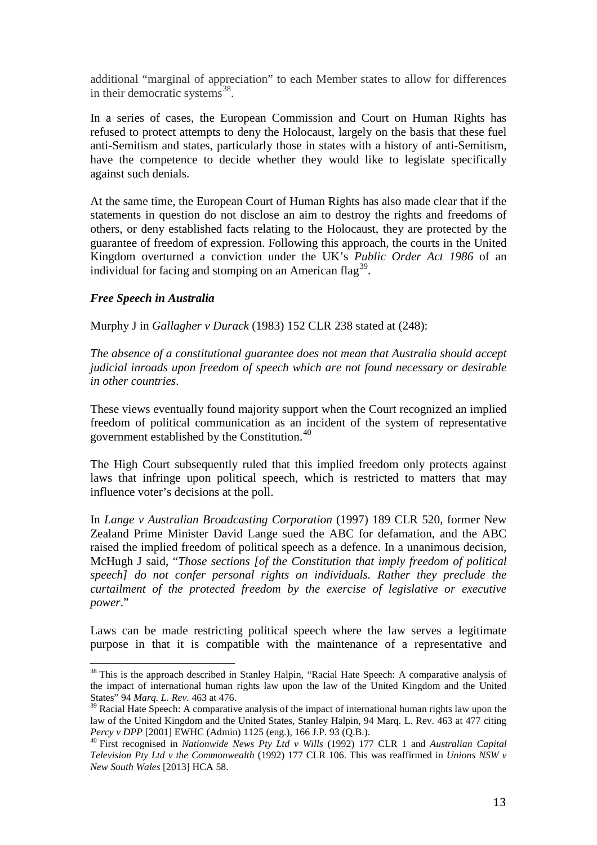additional "marginal of appreciation" to each Member states to allow for differences in their democratic systems $^{38}$  $^{38}$  $^{38}$ .

In a series of cases, the European Commission and Court on Human Rights has refused to protect attempts to deny the Holocaust, largely on the basis that these fuel anti-Semitism and states, particularly those in states with a history of anti-Semitism, have the competence to decide whether they would like to legislate specifically against such denials.

At the same time, the European Court of Human Rights has also made clear that if the statements in question do not disclose an aim to destroy the rights and freedoms of others, or deny established facts relating to the Holocaust, they are protected by the guarantee of freedom of expression. Following this approach, the courts in the United Kingdom overturned a conviction under the UK's *Public Order Act 1986* of an individual for facing and stomping on an American flag<sup>39</sup>.

#### *Free Speech in Australia*

Murphy J in *Gallagher v Durack* (1983) 152 CLR 238 stated at (248):

*The absence of a constitutional guarantee does not mean that Australia should accept judicial inroads upon freedom of speech which are not found necessary or desirable in other countries*.

These views eventually found majority support when the Court recognized an implied freedom of political communication as an incident of the system of representative government established by the Constitution.<sup>[40](#page-12-2)</sup>

The High Court subsequently ruled that this implied freedom only protects against laws that infringe upon political speech, which is restricted to matters that may influence voter's decisions at the poll.

In *Lange v Australian Broadcasting Corporation* (1997) 189 CLR 520, former New Zealand Prime Minister David Lange sued the ABC for defamation, and the ABC raised the implied freedom of political speech as a defence. In a unanimous decision, McHugh J said, "*Those sections [of the Constitution that imply freedom of political speech] do not confer personal rights on individuals. Rather they preclude the curtailment of the protected freedom by the exercise of legislative or executive power*."

Laws can be made restricting political speech where the law serves a legitimate purpose in that it is compatible with the maintenance of a representative and

<span id="page-12-0"></span><sup>&</sup>lt;sup>38</sup> This is the approach described in Stanley Halpin, "Racial Hate Speech: A comparative analysis of the impact of international human rights law upon the law of the United Kingdom and the United States" 94 *Marq. L. Rev.* 463 at 476.

<span id="page-12-1"></span><sup>&</sup>lt;sup>39</sup> Racial Hate Speech: A comparative analysis of the impact of international human rights law upon the law of the United Kingdom and the United States, Stanley Halpin, 94 Marq. L. Rev. 463 at 477 citing *Percy v DPP* [2001] EWHC (Admin) 1125 (eng.), 166 J.P. 93 (Q.B.).<br><sup>40</sup> First recognised in *Nationwide News Pty Ltd v Wills* (1992) 177 CLR 1 and *Australian Capital* 

<span id="page-12-2"></span>*Television Pty Ltd v the Commonwealth* (1992) 177 CLR 106. This was reaffirmed in *Unions NSW v New South Wales* [2013] HCA 58.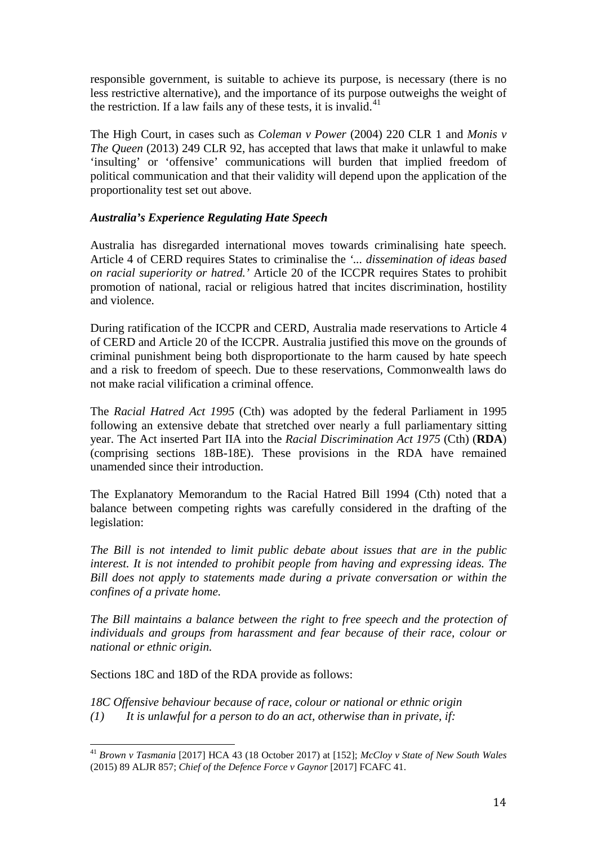responsible government, is suitable to achieve its purpose, is necessary (there is no less restrictive alternative), and the importance of its purpose outweighs the weight of the restriction. If a law fails any of these tests, it is invalid.<sup>[41](#page-13-0)</sup>

The High Court, in cases such as *Coleman v Power* (2004) 220 CLR 1 and *Monis v The Queen* (2013) 249 CLR 92, has accepted that laws that make it unlawful to make 'insulting' or 'offensive' communications will burden that implied freedom of political communication and that their validity will depend upon the application of the proportionality test set out above.

# *Australia's Experience Regulating Hate Speech*

Australia has disregarded international moves towards criminalising hate speech. Article 4 of CERD requires States to criminalise the *'... dissemination of ideas based on racial superiority or hatred.'* Article 20 of the ICCPR requires States to prohibit promotion of national, racial or religious hatred that incites discrimination, hostility and violence.

During ratification of the ICCPR and CERD, Australia made reservations to Article 4 of CERD and Article 20 of the ICCPR. Australia justified this move on the grounds of criminal punishment being both disproportionate to the harm caused by hate speech and a risk to freedom of speech. Due to these reservations, Commonwealth laws do not make racial vilification a criminal offence.

The *Racial Hatred Act 1995* (Cth) was adopted by the federal Parliament in 1995 following an extensive debate that stretched over nearly a full parliamentary sitting year. The Act inserted Part IIA into the *Racial Discrimination Act 1975* (Cth) (**RDA**) (comprising sections 18B-18E). These provisions in the RDA have remained unamended since their introduction.

The Explanatory Memorandum to the Racial Hatred Bill 1994 (Cth) noted that a balance between competing rights was carefully considered in the drafting of the legislation:

*The Bill is not intended to limit public debate about issues that are in the public interest. It is not intended to prohibit people from having and expressing ideas. The Bill does not apply to statements made during a private conversation or within the confines of a private home.*

*The Bill maintains a balance between the right to free speech and the protection of individuals and groups from harassment and fear because of their race, colour or national or ethnic origin.*

Sections 18C and 18D of the RDA provide as follows:

*18C Offensive behaviour because of race, colour or national or ethnic origin (1) It is unlawful for a person to do an act, otherwise than in private, if:*

<span id="page-13-0"></span><sup>41</sup> *Brown v Tasmania* [2017] HCA 43 (18 October 2017) at [152]; *McCloy v State of New South Wales* (2015) 89 ALJR 857; *Chief of the Defence Force v Gaynor* [2017] FCAFC 41.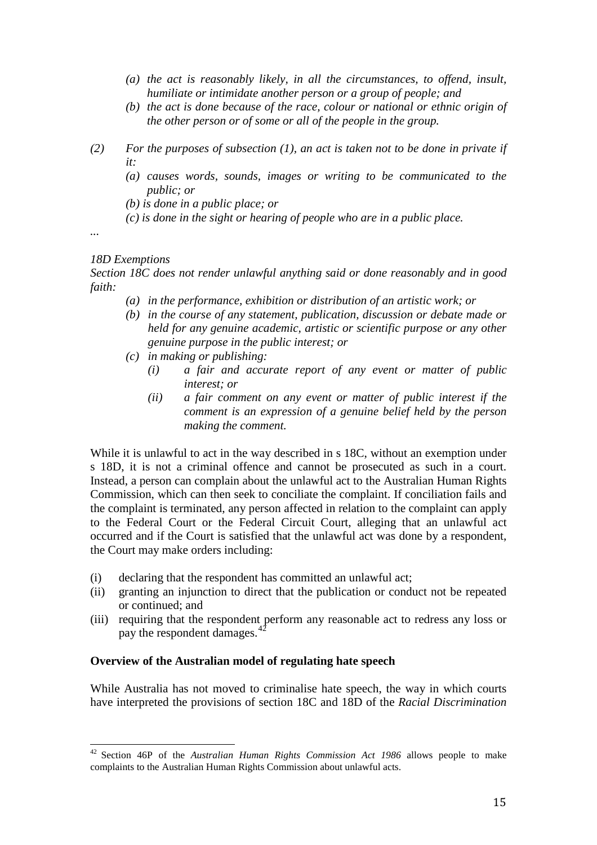- *(a) the act is reasonably likely, in all the circumstances, to offend, insult, humiliate or intimidate another person or a group of people; and*
- *(b) the act is done because of the race, colour or national or ethnic origin of the other person or of some or all of the people in the group.*
- *(2) For the purposes of subsection (1), an act is taken not to be done in private if it:*
	- *(a) causes words, sounds, images or writing to be communicated to the public; or*
	- *(b) is done in a public place; or*
	- *(c) is done in the sight or hearing of people who are in a public place.*

*...*

#### *18D Exemptions*

*Section 18C does not render unlawful anything said or done reasonably and in good faith:*

- *(a) in the performance, exhibition or distribution of an artistic work; or*
- *(b) in the course of any statement, publication, discussion or debate made or held for any genuine academic, artistic or scientific purpose or any other genuine purpose in the public interest; or*
- *(c) in making or publishing:*
	- *(i) a fair and accurate report of any event or matter of public interest; or*
	- *(ii) a fair comment on any event or matter of public interest if the comment is an expression of a genuine belief held by the person making the comment.*

While it is unlawful to act in the way described in s 18C, without an exemption under s 18D, it is not a criminal offence and cannot be prosecuted as such in a court. Instead, a person can complain about the unlawful act to the Australian Human Rights Commission, which can then seek to conciliate the complaint. If conciliation fails and the complaint is terminated, any person affected in relation to the complaint can apply to the Federal Court or the Federal Circuit Court, alleging that an unlawful act occurred and if the Court is satisfied that the unlawful act was done by a respondent, the Court may make orders including:

- (i) declaring that the respondent has committed an unlawful act;
- (ii) granting an injunction to direct that the publication or conduct not be repeated or continued; and
- (iii) requiring that the respondent perform any reasonable act to redress any loss or pay the respondent damages.<sup>[42](#page-14-0)</sup>

#### **Overview of the Australian model of regulating hate speech**

While Australia has not moved to criminalise hate speech, the way in which courts have interpreted the provisions of section 18C and 18D of the *Racial Discrimination* 

<span id="page-14-0"></span><sup>42</sup> Section 46P of the *Australian Human Rights Commission Act 1986* allows people to make complaints to the Australian Human Rights Commission about unlawful acts.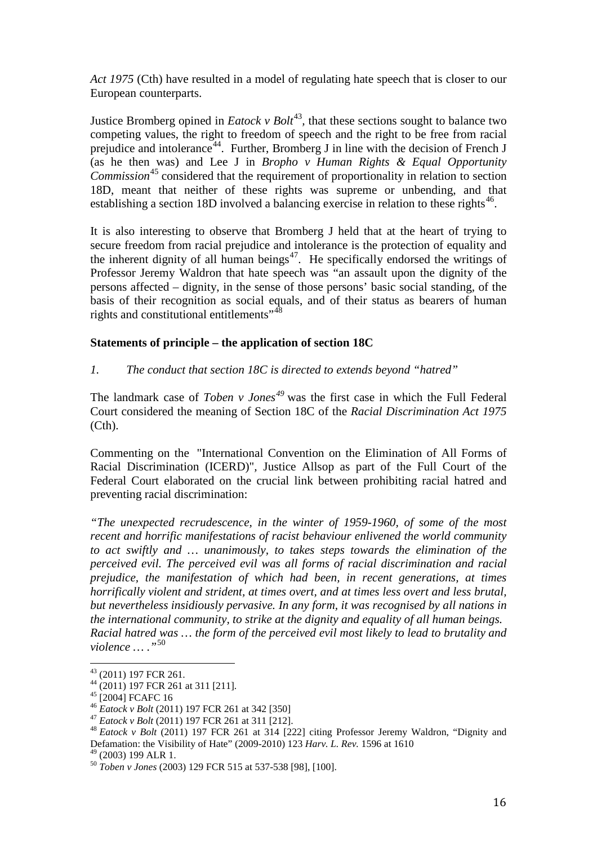*Act 1975* (Cth) have resulted in a model of regulating hate speech that is closer to our European counterparts.

Justice Bromberg opined in *Eatock v Bolt*<sup>[43](#page-15-0)</sup>, that these sections sought to balance two competing values, the right to freedom of speech and the right to be free from racial prejudice and intolerance<sup>[44](#page-15-1)</sup>. Further, Bromberg J in line with the decision of French J (as he then was) and Lee J in *Bropho v Human Rights & Equal Opportunity Commission*<sup>[45](#page-15-2)</sup> considered that the requirement of proportionality in relation to section 18D, meant that neither of these rights was supreme or unbending, and that establishing a section 18D involved a balancing exercise in relation to these rights<sup>[46](#page-15-3)</sup>.

It is also interesting to observe that Bromberg J held that at the heart of trying to secure freedom from racial prejudice and intolerance is the protection of equality and the inherent dignity of all human beings $47$ . He specifically endorsed the writings of Professor Jeremy Waldron that hate speech was "an assault upon the dignity of the persons affected – dignity, in the sense of those persons' basic social standing, of the basis of their recognition as social equals, and of their status as bearers of human rights and constitutional entitlements"<sup>[48](#page-15-5)</sup>

## **Statements of principle – the application of section 18C**

## *1. The conduct that section 18C is directed to extends beyond "hatred"*

The landmark case of *Toben v Jones[49](#page-15-6)* was the first case in which the Full Federal Court considered the meaning of Section 18C of the *Racial Discrimination Act 1975*  (Cth).

Commenting on the ["International Convention on the Elimination of All Forms of](http://www.ohchr.org/EN/ProfessionalInterest/Pages/CERD.aspx)  [Racial Discrimination \(ICERD\)"](http://www.ohchr.org/EN/ProfessionalInterest/Pages/CERD.aspx)*,* Justice Allsop as part of the Full Court of the Federal Court elaborated on the crucial link between prohibiting racial hatred and preventing racial discrimination:

*"The unexpected recrudescence, in the winter of 1959-1960, of some of the most recent and horrific manifestations of racist behaviour enlivened the world community to act swiftly and … unanimously, to takes steps towards the elimination of the perceived evil. The perceived evil was all forms of racial discrimination and racial prejudice, the manifestation of which had been, in recent generations, at times horrifically violent and strident, at times overt, and at times less overt and less brutal, but nevertheless insidiously pervasive. In any form, it was recognised by all nations in the international community, to strike at the dignity and equality of all human beings. Racial hatred was … the form of the perceived evil most likely to lead to brutality and violence … ."*[50](#page-15-7)

<span id="page-15-3"></span>

<span id="page-15-5"></span><span id="page-15-4"></span>

<span id="page-15-2"></span><span id="page-15-1"></span><span id="page-15-0"></span><sup>&</sup>lt;sup>43</sup> (2011) 197 FCR 261.<br>
<sup>44</sup> (2011) 197 FCR 261 at 311 [211].<br>
<sup>45</sup> [2004] FCAFC 16<br>
<sup>46</sup> *Eatock v Bolt* (2011) 197 FCR 261 at 342 [350]<br>
<sup>47</sup> *Eatock v Bolt* (2011) 197 FCR 261 at 311 [212].<br>
<sup>48</sup> *Eatock v Bolt* (201 Defamation: the Visibility of Hate" (2009-2010) 123 *Harv. L. Rev.* 1596 at 1610

<span id="page-15-7"></span><span id="page-15-6"></span><sup>&</sup>lt;sup>50</sup> Toben v Jones (2003) 129 FCR 515 at 537-538 [98], [100].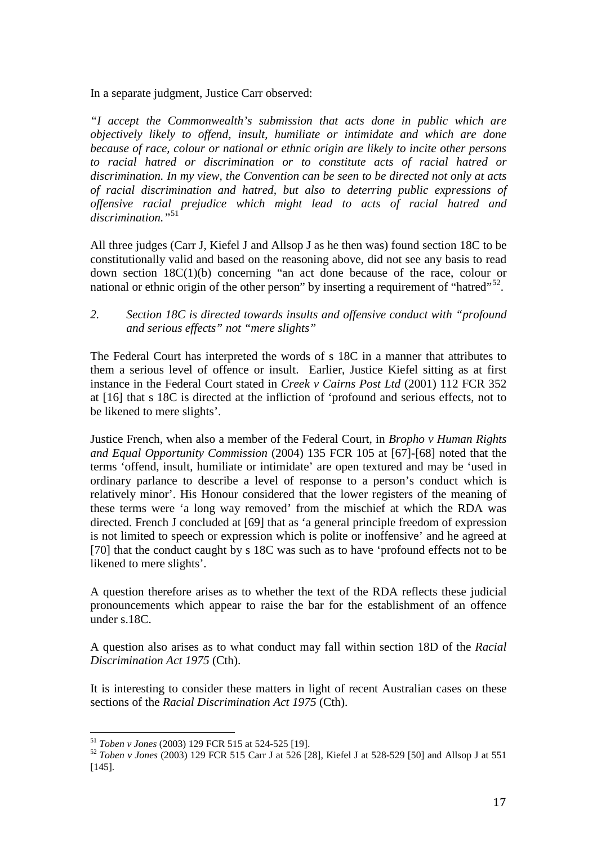In a separate judgment, Justice Carr observed:

*"I accept the Commonwealth's submission that acts done in public which are objectively likely to offend, insult, humiliate or intimidate and which are done because of race, colour or national or ethnic origin are likely to incite other persons to racial hatred or discrimination or to constitute acts of racial hatred or discrimination. In my view, the Convention can be seen to be directed not only at acts of racial discrimination and hatred, but also to deterring public expressions of offensive racial prejudice which might lead to acts of racial hatred and discrimination."*[51](#page-16-0)

All three judges (Carr J, Kiefel J and Allsop J as he then was) found section 18C to be constitutionally valid and based on the reasoning above, did not see any basis to read down section 18C(1)(b) concerning "an act done because of the race, colour or national or ethnic origin of the other person" by inserting a requirement of "hatred"<sup>52</sup>.

*2. Section 18C is directed towards insults and offensive conduct with "profound and serious effects" not "mere slights"*

The Federal Court has interpreted the words of s 18C in a manner that attributes to them a serious level of offence or insult. Earlier, Justice Kiefel sitting as at first instance in the Federal Court stated in *Creek v Cairns Post Ltd* (2001) 112 FCR 352 at [16] that s 18C is directed at the infliction of 'profound and serious effects, not to be likened to mere slights'.

Justice French, when also a member of the Federal Court, in *Bropho v Human Rights and Equal Opportunity Commission* (2004) 135 FCR 105 at [67]-[68] noted that the terms 'offend, insult, humiliate or intimidate' are open textured and may be 'used in ordinary parlance to describe a level of response to a person's conduct which is relatively minor'. His Honour considered that the lower registers of the meaning of these terms were 'a long way removed' from the mischief at which the RDA was directed. French J concluded at [69] that as 'a general principle freedom of expression is not limited to speech or expression which is polite or inoffensive' and he agreed at [70] that the conduct caught by s 18C was such as to have 'profound effects not to be likened to mere slights'.

A question therefore arises as to whether the text of the RDA reflects these judicial pronouncements which appear to raise the bar for the establishment of an offence under s.18C.

A question also arises as to what conduct may fall within section 18D of the *Racial Discrimination Act 1975* (Cth).

It is interesting to consider these matters in light of recent Australian cases on these sections of the *Racial Discrimination Act 1975* (Cth).

<span id="page-16-1"></span><span id="page-16-0"></span><sup>51</sup> *Toben v Jones* (2003) 129 FCR 515 at 524-525 [19]. <sup>52</sup> *Toben v Jones* (2003) 129 FCR 515 Carr J at 526 [28], Kiefel J at 528-529 [50] and Allsop J at 551 [145].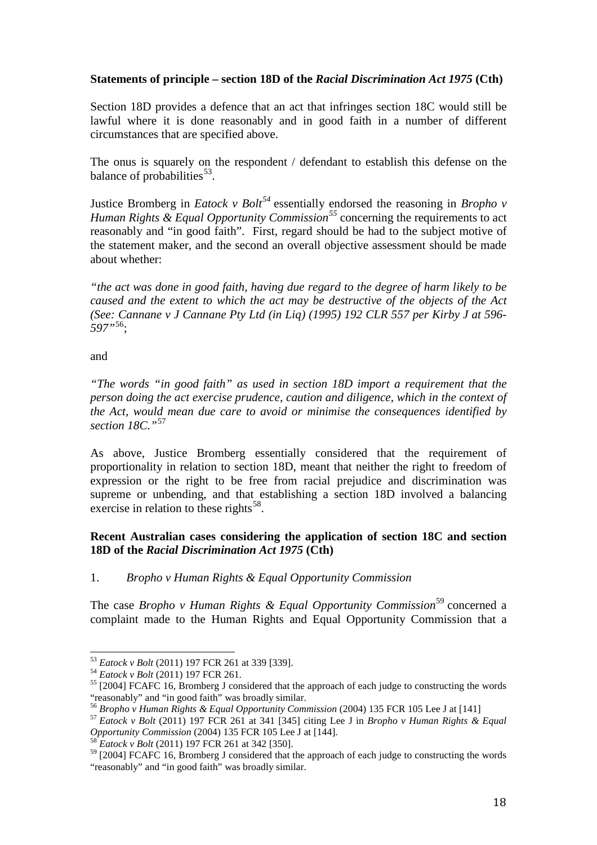# **Statements of principle – section 18D of the** *Racial Discrimination Act 1975* **(Cth)**

Section 18D provides a defence that an act that infringes section 18C would still be lawful where it is done reasonably and in good faith in a number of different circumstances that are specified above.

The onus is squarely on the respondent / defendant to establish this defense on the balance of probabilities $^{53}$  $^{53}$  $^{53}$ .

Justice Bromberg in *Eatock v Bolt[54](#page-17-1)* essentially endorsed the reasoning in *Bropho v Human Rights & Equal Opportunity Commission[55](#page-17-2)* concerning the requirements to act reasonably and "in good faith". First, regard should be had to the subject motive of the statement maker, and the second an overall objective assessment should be made about whether:

*"the act was done in good faith, having due regard to the degree of harm likely to be caused and the extent to which the act may be destructive of the objects of the Act (See: Cannane v J Cannane Pty Ltd (in Liq) (1995) 192 CLR 557 per Kirby J at 596- 597"*[56](#page-17-3);

and

*"The words "in good faith" as used in section 18D import a requirement that the person doing the act exercise prudence, caution and diligence, which in the context of the Act, would mean due care to avoid or minimise the consequences identified by section 18C."*[57](#page-17-4)

As above, Justice Bromberg essentially considered that the requirement of proportionality in relation to section 18D, meant that neither the right to freedom of expression or the right to be free from racial prejudice and discrimination was supreme or unbending, and that establishing a section 18D involved a balancing exercise in relation to these rights<sup>[58](#page-17-5)</sup>.

# **Recent Australian cases considering the application of section 18C and section 18D of the** *Racial Discrimination Act 1975* **(Cth)**

1. *Bropho v Human Rights & Equal Opportunity Commission*

The case *Bropho v Human Rights & Equal Opportunity Commission*<sup>[59](#page-17-6)</sup> concerned a complaint made to the Human Rights and Equal Opportunity Commission that a

<span id="page-17-1"></span><span id="page-17-0"></span><sup>&</sup>lt;sup>53</sup> *Eatock v Bolt* (2011) 197 FCR 261 at 339 [339].<br><sup>54</sup> *Eatock v Bolt* (2011) 197 FCR 261.<br><sup>55</sup> [2004] FCAFC 16, Bromberg J considered that the approach of each judge to constructing the words "reasonably" and "in good

<span id="page-17-4"></span><span id="page-17-3"></span><span id="page-17-2"></span><sup>&</sup>lt;sup>56</sup> Bropho v Human Rights & Equal Opportunity Commission (2004) 135 FCR 105 Lee J at [141]<br><sup>57</sup> Eatock v Bolt (2011) 197 FCR 261 at 341 [345] citing Lee J in Bropho v Human Rights & Equal<br>Opportunity Commission (2004) 13

<span id="page-17-6"></span><span id="page-17-5"></span><sup>&</sup>lt;sup>58</sup> Eatock v Bolt (2011) 197 FCR 261 at 342 [350].<br><sup>59</sup> [2004] FCAFC 16, Bromberg J considered that the approach of each judge to constructing the words "reasonably" and "in good faith" was broadly similar.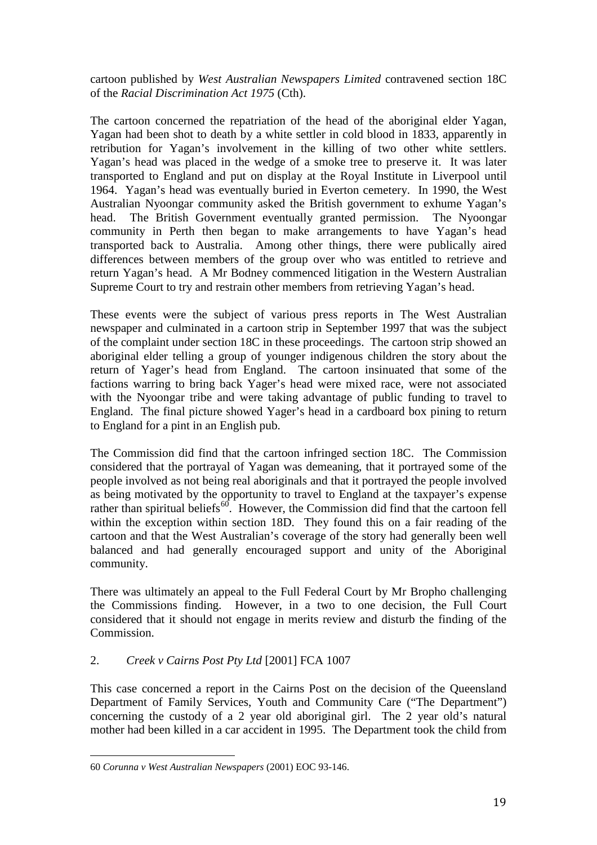cartoon published by *West Australian Newspapers Limited* contravened section 18C of the *Racial Discrimination Act 1975* (Cth).

The cartoon concerned the repatriation of the head of the aboriginal elder Yagan, Yagan had been shot to death by a white settler in cold blood in 1833, apparently in retribution for Yagan's involvement in the killing of two other white settlers. Yagan's head was placed in the wedge of a smoke tree to preserve it. It was later transported to England and put on display at the Royal Institute in Liverpool until 1964. Yagan's head was eventually buried in Everton cemetery. In 1990, the West Australian Nyoongar community asked the British government to exhume Yagan's head. The British Government eventually granted permission. The Nyoongar community in Perth then began to make arrangements to have Yagan's head transported back to Australia. Among other things, there were publically aired differences between members of the group over who was entitled to retrieve and return Yagan's head. A Mr Bodney commenced litigation in the Western Australian Supreme Court to try and restrain other members from retrieving Yagan's head.

These events were the subject of various press reports in The West Australian newspaper and culminated in a cartoon strip in September 1997 that was the subject of the complaint under section 18C in these proceedings. The cartoon strip showed an aboriginal elder telling a group of younger indigenous children the story about the return of Yager's head from England. The cartoon insinuated that some of the factions warring to bring back Yager's head were mixed race, were not associated with the Nyoongar tribe and were taking advantage of public funding to travel to England. The final picture showed Yager's head in a cardboard box pining to return to England for a pint in an English pub.

The Commission did find that the cartoon infringed section 18C. The Commission considered that the portrayal of Yagan was demeaning, that it portrayed some of the people involved as not being real aboriginals and that it portrayed the people involved as being motivated by the opportunity to travel to England at the taxpayer's expense rather than spiritual beliefs $^{60}$  $^{60}$  $^{60}$ . However, the Commission did find that the cartoon fell within the exception within section 18D. They found this on a fair reading of the cartoon and that the West Australian's coverage of the story had generally been well balanced and had generally encouraged support and unity of the Aboriginal community.

There was ultimately an appeal to the Full Federal Court by Mr Bropho challenging the Commissions finding. However, in a two to one decision, the Full Court considered that it should not engage in merits review and disturb the finding of the Commission.

# 2. *Creek v Cairns Post Pty Ltd* [2001] FCA 1007

This case concerned a report in the Cairns Post on the decision of the Queensland Department of Family Services, Youth and Community Care ("The Department") concerning the custody of a 2 year old aboriginal girl. The 2 year old's natural mother had been killed in a car accident in 1995. The Department took the child from

<span id="page-18-0"></span><sup>60</sup> *Corunna v West Australian Newspapers* (2001) EOC 93-146.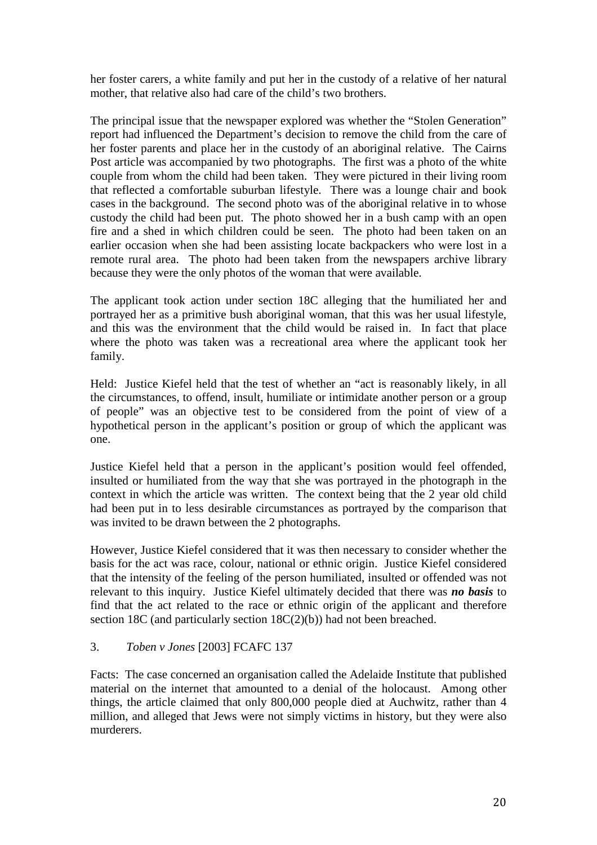her foster carers, a white family and put her in the custody of a relative of her natural mother, that relative also had care of the child's two brothers.

The principal issue that the newspaper explored was whether the "Stolen Generation" report had influenced the Department's decision to remove the child from the care of her foster parents and place her in the custody of an aboriginal relative. The Cairns Post article was accompanied by two photographs. The first was a photo of the white couple from whom the child had been taken. They were pictured in their living room that reflected a comfortable suburban lifestyle. There was a lounge chair and book cases in the background. The second photo was of the aboriginal relative in to whose custody the child had been put. The photo showed her in a bush camp with an open fire and a shed in which children could be seen. The photo had been taken on an earlier occasion when she had been assisting locate backpackers who were lost in a remote rural area. The photo had been taken from the newspapers archive library because they were the only photos of the woman that were available.

The applicant took action under section 18C alleging that the humiliated her and portrayed her as a primitive bush aboriginal woman, that this was her usual lifestyle, and this was the environment that the child would be raised in. In fact that place where the photo was taken was a recreational area where the applicant took her family.

Held: Justice Kiefel held that the test of whether an "act is reasonably likely, in all the circumstances, to offend, insult, humiliate or intimidate another person or a group of people" was an objective test to be considered from the point of view of a hypothetical person in the applicant's position or group of which the applicant was one.

Justice Kiefel held that a person in the applicant's position would feel offended, insulted or humiliated from the way that she was portrayed in the photograph in the context in which the article was written. The context being that the 2 year old child had been put in to less desirable circumstances as portrayed by the comparison that was invited to be drawn between the 2 photographs.

However, Justice Kiefel considered that it was then necessary to consider whether the basis for the act was race, colour, national or ethnic origin. Justice Kiefel considered that the intensity of the feeling of the person humiliated, insulted or offended was not relevant to this inquiry. Justice Kiefel ultimately decided that there was *no basis* to find that the act related to the race or ethnic origin of the applicant and therefore section 18C (and particularly section 18C(2)(b)) had not been breached.

# 3. *Toben v Jones* [2003] FCAFC 137

Facts: The case concerned an organisation called the Adelaide Institute that published material on the internet that amounted to a denial of the holocaust. Among other things, the article claimed that only 800,000 people died at Auchwitz, rather than 4 million, and alleged that Jews were not simply victims in history, but they were also murderers.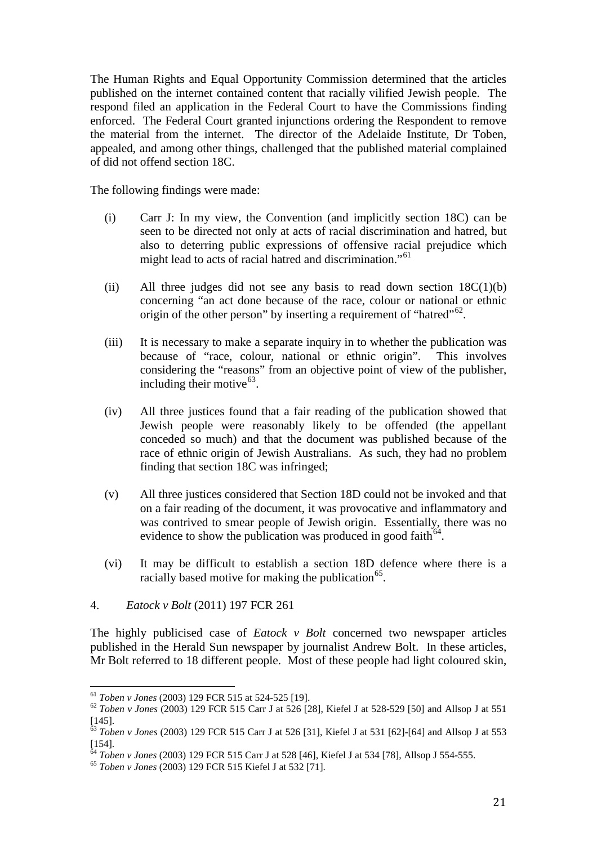The Human Rights and Equal Opportunity Commission determined that the articles published on the internet contained content that racially vilified Jewish people. The respond filed an application in the Federal Court to have the Commissions finding enforced. The Federal Court granted injunctions ordering the Respondent to remove the material from the internet. The director of the Adelaide Institute, Dr Toben, appealed, and among other things, challenged that the published material complained of did not offend section 18C.

The following findings were made:

- (i) Carr J: In my view, the Convention (and implicitly section 18C) can be seen to be directed not only at acts of racial discrimination and hatred, but also to deterring public expressions of offensive racial prejudice which might lead to acts of racial hatred and discrimination."[61](#page-20-0)
- (ii) All three judges did not see any basis to read down section  $18C(1)(b)$ concerning "an act done because of the race, colour or national or ethnic origin of the other person" by inserting a requirement of "hatred"<sup>62</sup>.
- (iii) It is necessary to make a separate inquiry in to whether the publication was because of "race, colour, national or ethnic origin". This involves considering the "reasons" from an objective point of view of the publisher, including their motive $^{63}$  $^{63}$  $^{63}$ .
- (iv) All three justices found that a fair reading of the publication showed that Jewish people were reasonably likely to be offended (the appellant conceded so much) and that the document was published because of the race of ethnic origin of Jewish Australians. As such, they had no problem finding that section 18C was infringed;
- (v) All three justices considered that Section 18D could not be invoked and that on a fair reading of the document, it was provocative and inflammatory and was contrived to smear people of Jewish origin. Essentially, there was no evidence to show the publication was produced in good faith<sup> $64$ </sup>.
- (vi) It may be difficult to establish a section 18D defence where there is a racially based motive for making the publication $\mathcal{F}^5$ .
- 4. *Eatock v Bolt* (2011) 197 FCR 261

The highly publicised case of *Eatock v Bolt* concerned two newspaper articles published in the Herald Sun newspaper by journalist Andrew Bolt. In these articles, Mr Bolt referred to 18 different people. Most of these people had light coloured skin,

<span id="page-20-1"></span><span id="page-20-0"></span><sup>61</sup> *Toben v Jones* (2003) 129 FCR 515 at 524-525 [19]. <sup>62</sup> *Toben v Jones* (2003) 129 FCR 515 Carr J at 526 [28], Kiefel J at 528-529 [50] and Allsop J at 551 [145]. <sup>63</sup> *Toben v Jones* (2003) 129 FCR 515 Carr J at 526 [31], Kiefel J at 531 [62]-[64] and Allsop J at 553

<span id="page-20-2"></span><sup>[154].</sup> <sup>64</sup> *Toben v Jones* (2003) 129 FCR 515 Carr J at 528 [46], Kiefel J at 534 [78], Allsop J 554-555. <sup>65</sup> *Toben v Jones* (2003) 129 FCR 515 Kiefel J at 532 [71].

<span id="page-20-3"></span>

<span id="page-20-4"></span>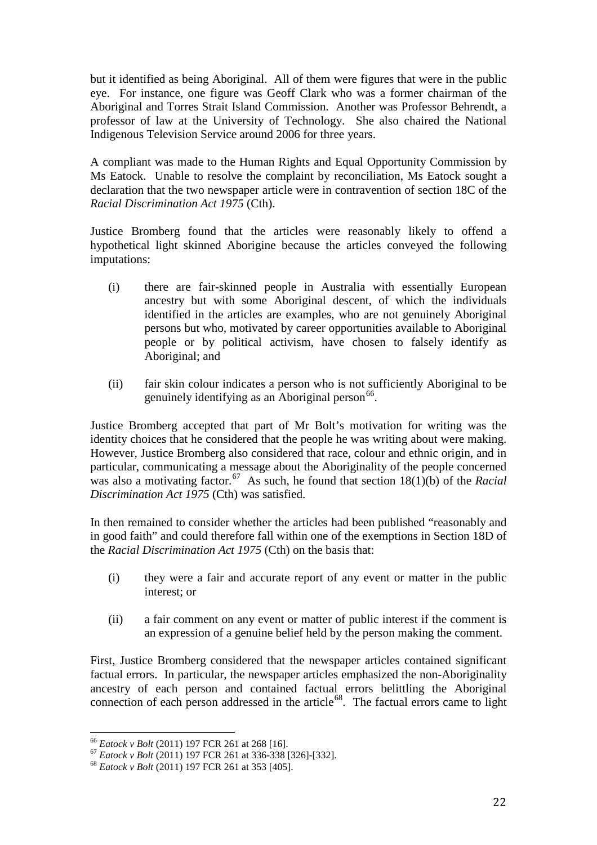but it identified as being Aboriginal. All of them were figures that were in the public eye. For instance, one figure was Geoff Clark who was a former chairman of the Aboriginal and Torres Strait Island Commission. Another was Professor Behrendt, a professor of law at the University of Technology. She also chaired the National Indigenous Television Service around 2006 for three years.

A compliant was made to the Human Rights and Equal Opportunity Commission by Ms Eatock. Unable to resolve the complaint by reconciliation, Ms Eatock sought a declaration that the two newspaper article were in contravention of section 18C of the *Racial Discrimination Act 1975* (Cth).

Justice Bromberg found that the articles were reasonably likely to offend a hypothetical light skinned Aborigine because the articles conveyed the following imputations:

- (i) there are fair-skinned people in Australia with essentially European ancestry but with some Aboriginal descent, of which the individuals identified in the articles are examples, who are not genuinely Aboriginal persons but who, motivated by career opportunities available to Aboriginal people or by political activism, have chosen to falsely identify as Aboriginal; and
- (ii) fair skin colour indicates a person who is not sufficiently Aboriginal to be genuinely identifying as an Aboriginal person $^{66}$  $^{66}$  $^{66}$ .

Justice Bromberg accepted that part of Mr Bolt's motivation for writing was the identity choices that he considered that the people he was writing about were making. However, Justice Bromberg also considered that race, colour and ethnic origin, and in particular, communicating a message about the Aboriginality of the people concerned was also a motivating factor.<sup>67</sup> As such, he found that section  $18(1)(b)$  of the *Racial Discrimination Act 1975* (Cth) was satisfied.

In then remained to consider whether the articles had been published "reasonably and in good faith" and could therefore fall within one of the exemptions in Section 18D of the *Racial Discrimination Act 1975* (Cth) on the basis that:

- (i) they were a fair and accurate report of any event or matter in the public interest; or
- (ii) a fair comment on any event or matter of public interest if the comment is an expression of a genuine belief held by the person making the comment.

First, Justice Bromberg considered that the newspaper articles contained significant factual errors. In particular, the newspaper articles emphasized the non-Aboriginality ancestry of each person and contained factual errors belittling the Aboriginal connection of each person addressed in the article<sup>68</sup>. The factual errors came to light

<span id="page-21-1"></span><span id="page-21-0"></span><sup>66</sup> *Eatock v Bolt* (2011) 197 FCR 261 at 268 [16]. <sup>67</sup> *Eatock v Bolt* (2011) 197 FCR 261 at 336-338 [326]-[332]. <sup>68</sup> *Eatock v Bolt* (2011) 197 FCR 261 at 353 [405].

<span id="page-21-2"></span>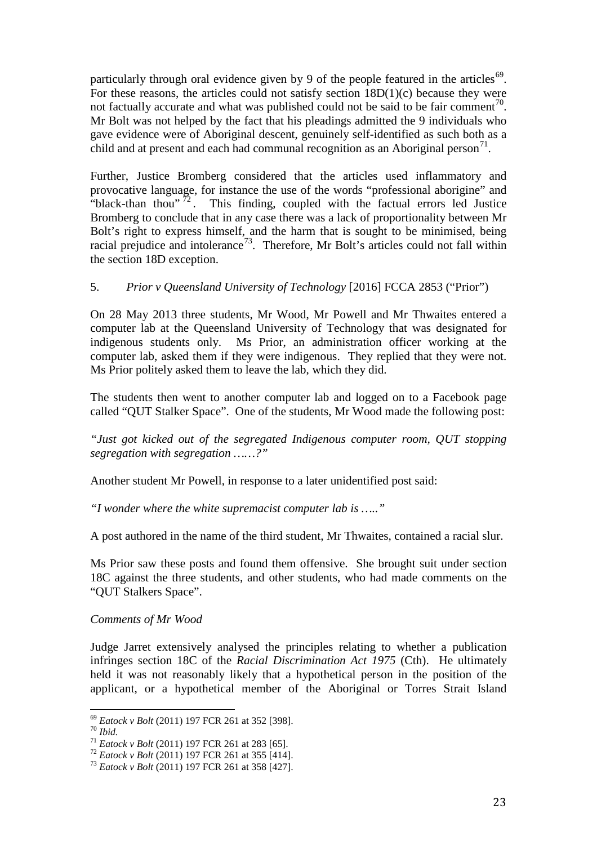particularly through oral evidence given by 9 of the people featured in the articles<sup>[69](#page-22-0)</sup>. For these reasons, the articles could not satisfy section  $18D(1)(c)$  because they were not factually accurate and what was published could not be said to be fair comment<sup>[70](#page-22-1)</sup>. Mr Bolt was not helped by the fact that his pleadings admitted the 9 individuals who gave evidence were of Aboriginal descent, genuinely self-identified as such both as a child and at present and each had communal recognition as an Aboriginal person<sup>[71](#page-22-2)</sup>.

Further, Justice Bromberg considered that the articles used inflammatory and provocative language, for instance the use of the words "professional aborigine" and "black-than thou"  $^{72}$  $^{72}$  $^{72}$ . This finding, coupled with the factual errors led Justice Bromberg to conclude that in any case there was a lack of proportionality between Mr Bolt's right to express himself, and the harm that is sought to be minimised, being racial prejudice and intolerance<sup>73</sup>. Therefore, Mr Bolt's articles could not fall within the section 18D exception.

# 5. *Prior v Queensland University of Technology* [2016] FCCA 2853 ("Prior")

On 28 May 2013 three students, Mr Wood, Mr Powell and Mr Thwaites entered a computer lab at the Queensland University of Technology that was designated for indigenous students only. Ms Prior, an administration officer working at the computer lab, asked them if they were indigenous. They replied that they were not. Ms Prior politely asked them to leave the lab, which they did.

The students then went to another computer lab and logged on to a Facebook page called "QUT Stalker Space". One of the students, Mr Wood made the following post:

*"Just got kicked out of the segregated Indigenous computer room, QUT stopping segregation with segregation ……?"*

Another student Mr Powell, in response to a later unidentified post said:

*"I wonder where the white supremacist computer lab is ….."*

A post authored in the name of the third student, Mr Thwaites, contained a racial slur.

Ms Prior saw these posts and found them offensive. She brought suit under section 18C against the three students, and other students, who had made comments on the "QUT Stalkers Space".

*Comments of Mr Wood*

Judge Jarret extensively analysed the principles relating to whether a publication infringes section 18C of the *Racial Discrimination Act 1975* (Cth). He ultimately held it was not reasonably likely that a hypothetical person in the position of the applicant, or a hypothetical member of the Aboriginal or Torres Strait Island

<span id="page-22-1"></span><span id="page-22-0"></span><sup>&</sup>lt;sup>69</sup> Eatock v Bolt (2011) 197 FCR 261 at 352 [398].<br><sup>70</sup> Ibid.<br><sup>71</sup> Eatock v Bolt (2011) 197 FCR 261 at 283 [65].<br><sup>72</sup> Eatock v Bolt (2011) 197 FCR 261 at 355 [414].<br><sup>73</sup> Eatock v Bolt (2011) 197 FCR 261 at 358 [427].

<span id="page-22-2"></span>

<span id="page-22-3"></span>

<span id="page-22-4"></span>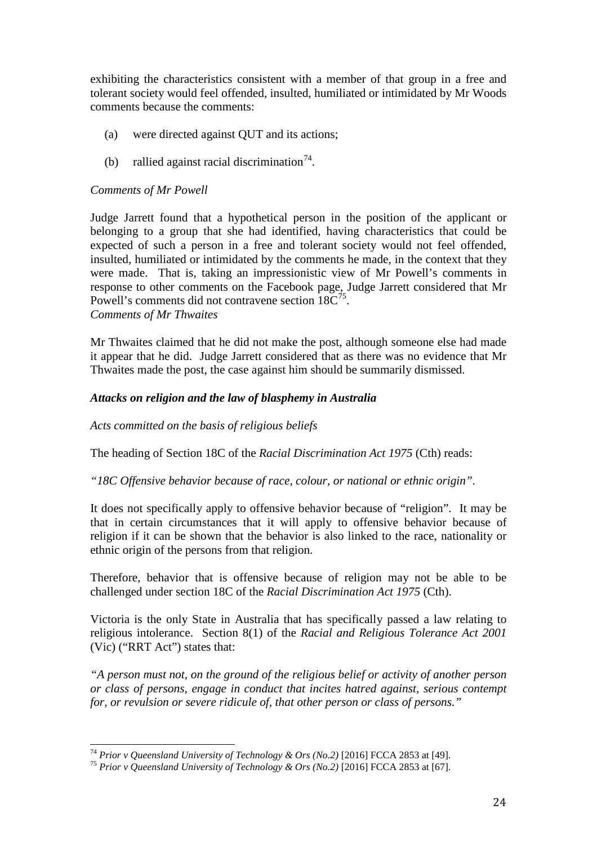exhibiting the characteristics consistent with a member of that group in a free and tolerant society would feel offended, insulted, humiliated or intimidated by Mr Woods comments because the comments:

- (a) were directed against QUT and its actions;
- (b) rallied against racial discrimination<sup>74</sup>.

#### *Comments of Mr Powell*

Judge Jarrett found that a hypothetical person in the position of the applicant or belonging to a group that she had identified, having characteristics that could be expected of such a person in a free and tolerant society would not feel offended, insulted, humiliated or intimidated by the comments he made, in the context that they were made. That is, taking an impressionistic view of Mr Powell's comments in response to other comments on the Facebook page, Judge Jarrett considered that Mr Powell's comments did not contravene section  $18C^{75}$  $18C^{75}$  $18C^{75}$ . *Comments of Mr Thwaites*

Mr Thwaites claimed that he did not make the post, although someone else had made it appear that he did. Judge Jarrett considered that as there was no evidence that Mr Thwaites made the post, the case against him should be summarily dismissed.

#### *Attacks on religion and the law of blasphemy in Australia*

*Acts committed on the basis of religious beliefs*

The heading of Section 18C of the *Racial Discrimination Act 1975* (Cth) reads:

*"18C Offensive behavior because of race, colour, or national or ethnic origin".*

It does not specifically apply to offensive behavior because of "religion". It may be that in certain circumstances that it will apply to offensive behavior because of religion if it can be shown that the behavior is also linked to the race, nationality or ethnic origin of the persons from that religion.

Therefore, behavior that is offensive because of religion may not be able to be challenged under section 18C of the *Racial Discrimination Act 1975* (Cth).

Victoria is the only State in Australia that has specifically passed a law relating to religious intolerance. Section 8(1) of the *Racial and Religious Tolerance Act 2001*  (Vic) ("RRT Act") states that:

*"A person must not, on the ground of the religious belief or activity of another person or class of persons, engage in conduct that incites hatred against, serious contempt for, or revulsion or severe ridicule of, that other person or class of persons."*

<span id="page-23-0"></span><sup>&</sup>lt;sup>74</sup> *Prior v Queensland University of Technology & Ors (No.2)* [2016] FCCA 2853 at [49].<br><sup>75</sup> *Prior v Queensland University of Technology & Ors (No.2)* [2016] FCCA 2853 at [67].

<span id="page-23-1"></span>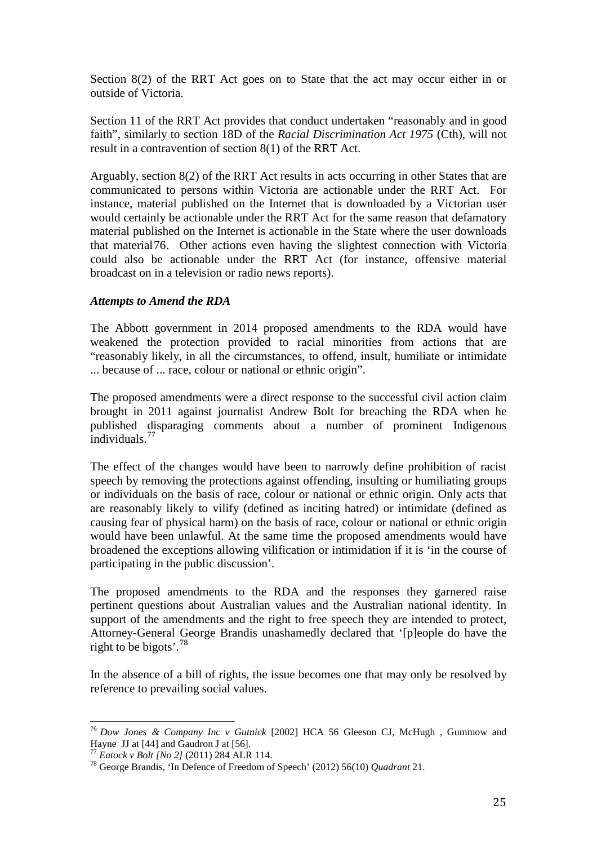Section 8(2) of the RRT Act goes on to State that the act may occur either in or outside of Victoria.

Section 11 of the RRT Act provides that conduct undertaken "reasonably and in good faith", similarly to section 18D of the *Racial Discrimination Act 1975* (Cth), will not result in a contravention of section 8(1) of the RRT Act.

Arguably, section 8(2) of the RRT Act results in acts occurring in other States that are communicated to persons within Victoria are actionable under the RRT Act. For instance, material published on the Internet that is downloaded by a Victorian user would certainly be actionable under the RRT Act for the same reason that defamatory material published on the Internet is actionable in the State where the user downloads that material[76](#page-24-0). Other actions even having the slightest connection with Victoria could also be actionable under the RRT Act (for instance, offensive material broadcast on in a television or radio news reports).

## *Attempts to Amend the RDA*

The Abbott government in 2014 proposed amendments to the RDA would have weakened the protection provided to racial minorities from actions that are "reasonably likely, in all the circumstances, to offend, insult, humiliate or intimidate ... because of ... race, colour or national or ethnic origin".

The proposed amendments were a direct response to the successful civil action claim brought in 2011 against journalist Andrew Bolt for breaching the RDA when he published disparaging comments about a number of prominent Indigenous individuals. $7^7$ 

The effect of the changes would have been to narrowly define prohibition of racist speech by removing the protections against offending, insulting or humiliating groups or individuals on the basis of race, colour or national or ethnic origin. Only acts that are reasonably likely to vilify (defined as inciting hatred) or intimidate (defined as causing fear of physical harm) on the basis of race, colour or national or ethnic origin would have been unlawful. At the same time the proposed amendments would have broadened the exceptions allowing vilification or intimidation if it is 'in the course of participating in the public discussion'.

The proposed amendments to the RDA and the responses they garnered raise pertinent questions about Australian values and the Australian national identity. In support of the amendments and the right to free speech they are intended to protect, Attorney-General George Brandis unashamedly declared that '[p]eople do have the right to be bigots'. [78](#page-24-2)

In the absence of a bill of rights, the issue becomes one that may only be resolved by reference to prevailing social values.

<span id="page-24-0"></span><sup>&</sup>lt;sup>76</sup> *Dow Jones & Company Inc v Gutnick* [2002] HCA 56 Gleeson CJ, McHugh, Gummow and Hayne JJ at [44] and Gaudron J at [56].

<span id="page-24-2"></span><span id="page-24-1"></span>

<sup>&</sup>lt;sup>77</sup> *Eatock v Bolt [No 2]* (2011) 284 ALR 114.<br><sup>78</sup> George Brandis, 'In Defence of Freedom of Speech' (2012) 56(10) *Quadrant* 21.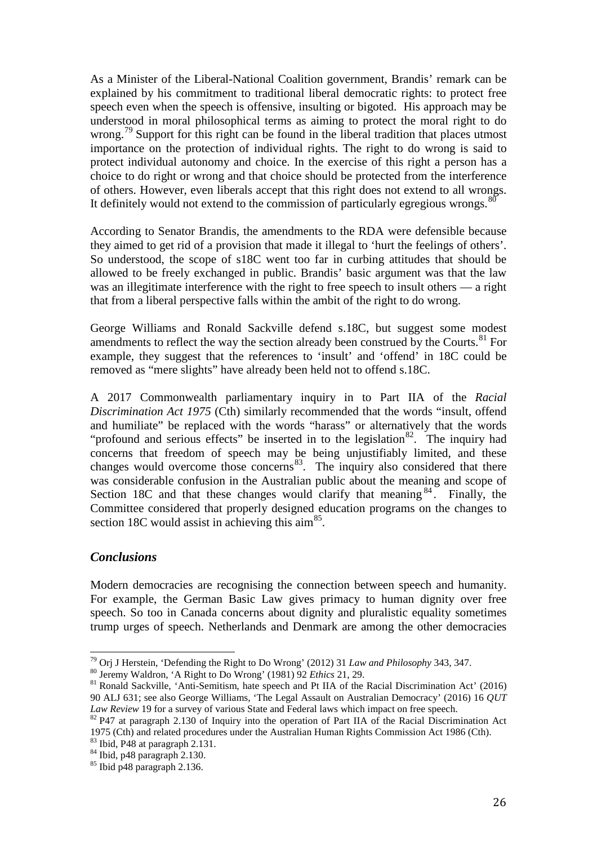As a Minister of the Liberal-National Coalition government, Brandis' remark can be explained by his commitment to traditional liberal democratic rights: to protect free speech even when the speech is offensive, insulting or bigoted. His approach may be understood in moral philosophical terms as aiming to protect the moral right to do wrong.<sup>[79](#page-25-0)</sup> Support for this right can be found in the liberal tradition that places utmost importance on the protection of individual rights. The right to do wrong is said to protect individual autonomy and choice. In the exercise of this right a person has a choice to do right or wrong and that choice should be protected from the interference of others. However, even liberals accept that this right does not extend to all wrongs. It definitely would not extend to the commission of particularly egregious wrongs. $80$ 

According to Senator Brandis, the amendments to the RDA were defensible because they aimed to get rid of a provision that made it illegal to 'hurt the feelings of others'. So understood, the scope of s18C went too far in curbing attitudes that should be allowed to be freely exchanged in public. Brandis' basic argument was that the law was an illegitimate interference with the right to free speech to insult others — a right that from a liberal perspective falls within the ambit of the right to do wrong.

George Williams and Ronald Sackville defend s.18C, but suggest some modest amendments to reflect the way the section already been construed by the Courts. $81$  For example, they suggest that the references to 'insult' and 'offend' in 18C could be removed as "mere slights" have already been held not to offend s.18C.

A 2017 Commonwealth parliamentary inquiry in to Part IIA of the *Racial Discrimination Act 1975* (Cth) similarly recommended that the words "insult, offend and humiliate" be replaced with the words "harass" or alternatively that the words "profound and serious effects" be inserted in to the legislation<sup>[82](#page-25-3)</sup>. The inquiry had concerns that freedom of speech may be being unjustifiably limited, and these changes would overcome those concerns<sup>83</sup>. The inquiry also considered that there was considerable confusion in the Australian public about the meaning and scope of Section 18C and that these changes would clarify that meaning  $84$ . Finally, the Committee considered that properly designed education programs on the changes to section 18C would assist in achieving this  $\text{aim}^{\text{85}}$  $\text{aim}^{\text{85}}$  $\text{aim}^{\text{85}}$ .

# *Conclusions*

Modern democracies are recognising the connection between speech and humanity. For example, the German Basic Law gives primacy to human dignity over free speech. So too in Canada concerns about dignity and pluralistic equality sometimes trump urges of speech. Netherlands and Denmark are among the other democracies

<span id="page-25-5"></span><span id="page-25-4"></span>

<span id="page-25-0"></span><sup>&</sup>lt;sup>79</sup> Orj J Herstein, 'Defending the Right to Do Wrong' (2012) 31 *Law and Philosophy* 343, 347.<br><sup>80</sup> Jeremy Waldron, 'A Right to Do Wrong' (1981) 92 *Ethics* 21, 29.<br><sup>81</sup> Ronald Sackville, 'Anti-Semitism, hate speech and

<span id="page-25-1"></span>

<span id="page-25-2"></span><sup>90</sup> ALJ 631; see also George Williams, 'The Legal Assault on Australian Democracy' (2016) 16 *QUT* 

<span id="page-25-3"></span><sup>&</sup>lt;sup>82</sup> P47 at paragraph 2.130 of Inquiry into the operation of Part IIA of the Racial Discrimination Act 1975 (Cth) and related procedures under the Australian Human Rights Commission Act 1986 (Cth).<br><sup>83</sup> Ibid, P48 at paragraph 2.131.<br><sup>84</sup> Ibid, p48 paragraph 2.130.<br><sup>85</sup> Ibid p48 paragraph 2.136.

<span id="page-25-6"></span>